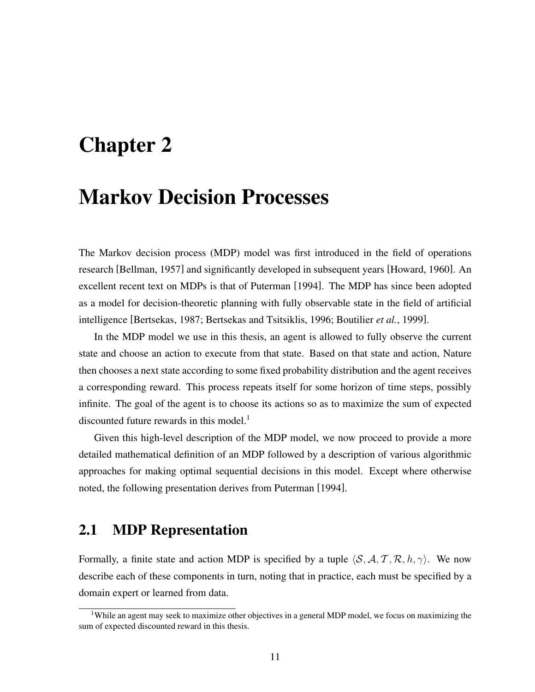# **Chapter 2**

# **Markov Decision Processes**

The Markov decision process (MDP) model was first introduced in the field of operations research [Bellman, 1957] and significantly developed in subsequent years [Howard, 1960]. An excellent recent text on MDPs is that of Puterman [1994]. The MDP has since been adopted as a model for decision-theoretic planning with fully observable state in the field of artificial intelligence [Bertsekas, 1987; Bertsekas and Tsitsiklis, 1996; Boutilier *et al.*, 1999].

In the MDP model we use in this thesis, an agent is allowed to fully observe the current state and choose an action to execute from that state. Based on that state and action, Nature then chooses a next state according to some fixed probability distribution and the agent receives a corresponding reward. This process repeats itself for some horizon of time steps, possibly infinite. The goal of the agent is to choose its actions so as to maximize the sum of expected discounted future rewards in this model.<sup>1</sup>

Given this high-level description of the MDP model, we now proceed to provide a more detailed mathematical definition of an MDP followed by a description of various algorithmic approaches for making optimal sequential decisions in this model. Except where otherwise noted, the following presentation derives from Puterman [1994].

# **2.1 MDP Representation**

Formally, a finite state and action MDP is specified by a tuple  $\langle S, A, T, R, h, \gamma \rangle$ . We now describe each of these components in turn, noting that in practice, each must be specified by a domain expert or learned from data.

<sup>&</sup>lt;sup>1</sup>While an agent may seek to maximize other objectives in a general MDP model, we focus on maximizing the sum of expected discounted reward in this thesis.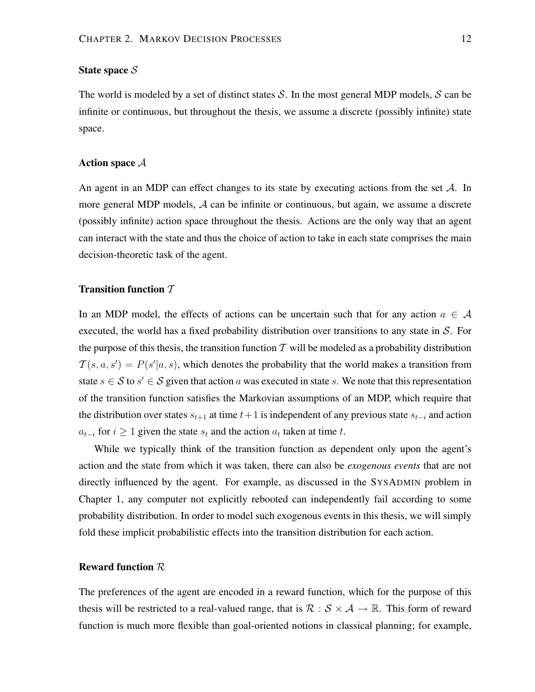## **State space** S

The world is modeled by a set of distinct states S. In the most general MDP models, S can be infinite or continuous, but throughout the thesis, we assume a discrete (possibly infinite) state space.

## **Action space** A

An agent in an MDP can effect changes to its state by executing actions from the set  $\mathcal{A}$ . In more general MDP models, A can be infinite or continuous, but again, we assume a discrete (possibly infinite) action space throughout the thesis. Actions are the only way that an agent can interact with the state and thus the choice of action to take in each state comprises the main decision-theoretic task of the agent.

### **Transition function** T

In an MDP model, the effects of actions can be uncertain such that for any action  $a \in \mathcal{A}$ executed, the world has a fixed probability distribution over transitions to any state in  $S$ . For the purpose of this thesis, the transition function  $\mathcal T$  will be modeled as a probability distribution  $T(s, a, s') = P(s'|a, s)$ , which denotes the probability that the world makes a transition from state  $s \in S$  to  $s' \in S$  given that action a was executed in state s. We note that this representation of the transition function satisfies the Markovian assumptions of an MDP, which require that the distribution over states  $s_{t+1}$  at time  $t+1$  is independent of any previous state  $s_{t-i}$  and action  $a_{t-i}$  for  $i \ge 1$  given the state  $s_t$  and the action  $a_t$  taken at time t.

While we typically think of the transition function as dependent only upon the agent's action and the state from which it was taken, there can also be *exogenous events* that are not directly influenced by the agent. For example, as discussed in the SYSADMIN problem in Chapter 1, any computer not explicitly rebooted can independently fail according to some probability distribution. In order to model such exogenous events in this thesis, we will simply fold these implicit probabilistic effects into the transition distribution for each action.

### **Reward function** R

The preferences of the agent are encoded in a reward function, which for the purpose of this thesis will be restricted to a real-valued range, that is  $\mathcal{R}: \mathcal{S} \times \mathcal{A} \to \mathbb{R}$ . This form of reward function is much more flexible than goal-oriented notions in classical planning; for example,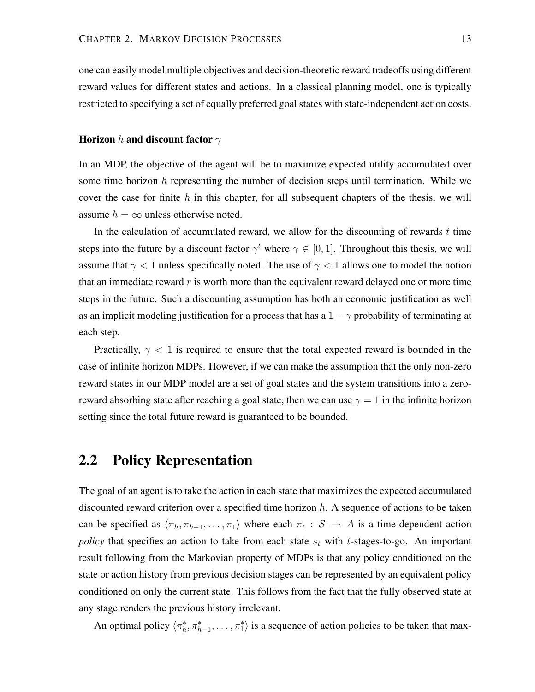one can easily model multiple objectives and decision-theoretic reward tradeoffs using different reward values for different states and actions. In a classical planning model, one is typically restricted to specifying a set of equally preferred goal states with state-independent action costs.

### **Horizon** h **and discount factor**  $\gamma$

In an MDP, the objective of the agent will be to maximize expected utility accumulated over some time horizon  $h$  representing the number of decision steps until termination. While we cover the case for finite h in this chapter, for all subsequent chapters of the thesis, we will assume  $h = \infty$  unless otherwise noted.

In the calculation of accumulated reward, we allow for the discounting of rewards  $t$  time steps into the future by a discount factor  $\gamma^t$  where  $\gamma \in [0,1]$ . Throughout this thesis, we will assume that  $\gamma$  < 1 unless specifically noted. The use of  $\gamma$  < 1 allows one to model the notion that an immediate reward  $r$  is worth more than the equivalent reward delayed one or more time steps in the future. Such a discounting assumption has both an economic justification as well as an implicit modeling justification for a process that has a  $1 - \gamma$  probability of terminating at each step.

Practically,  $\gamma$  < 1 is required to ensure that the total expected reward is bounded in the case of infinite horizon MDPs. However, if we can make the assumption that the only non-zero reward states in our MDP model are a set of goal states and the system transitions into a zeroreward absorbing state after reaching a goal state, then we can use  $\gamma = 1$  in the infinite horizon setting since the total future reward is guaranteed to be bounded.

# **2.2 Policy Representation**

The goal of an agent is to take the action in each state that maximizes the expected accumulated discounted reward criterion over a specified time horizon  $h$ . A sequence of actions to be taken can be specified as  $\langle \pi_h, \pi_{h-1}, \ldots, \pi_1 \rangle$  where each  $\pi_t : S \to A$  is a time-dependent action *policy* that specifies an action to take from each state  $s_t$  with t-stages-to-go. An important result following from the Markovian property of MDPs is that any policy conditioned on the state or action history from previous decision stages can be represented by an equivalent policy conditioned on only the current state. This follows from the fact that the fully observed state at any stage renders the previous history irrelevant.

An optimal policy  $\langle \pi_h^*, \pi_{h-1}^*, \ldots, \pi_1^* \rangle$  is a sequence of action policies to be taken that max-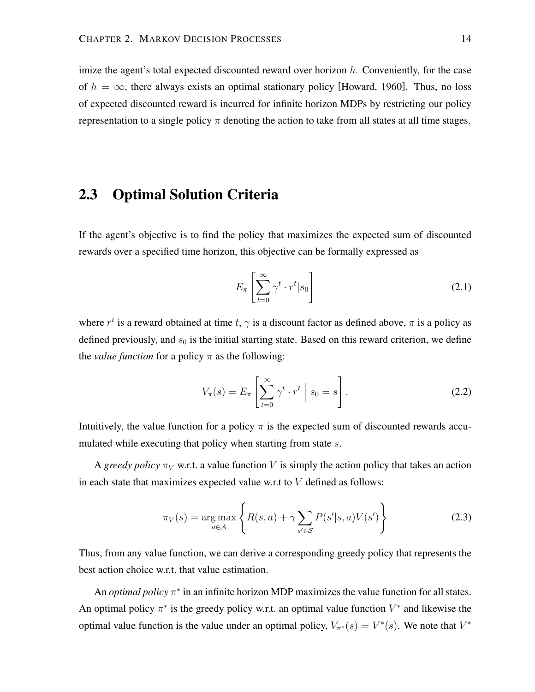imize the agent's total expected discounted reward over horizon  $h$ . Conveniently, for the case of  $h = \infty$ , there always exists an optimal stationary policy [Howard, 1960]. Thus, no loss of expected discounted reward is incurred for infinite horizon MDPs by restricting our policy representation to a single policy  $\pi$  denoting the action to take from all states at all time stages.

# **2.3 Optimal Solution Criteria**

If the agent's objective is to find the policy that maximizes the expected sum of discounted rewards over a specified time horizon, this objective can be formally expressed as

$$
E_{\pi} \left[ \sum_{t=0}^{\infty} \gamma^t \cdot r^t | s_0 \right] \tag{2.1}
$$

where  $r^t$  is a reward obtained at time t,  $\gamma$  is a discount factor as defined above,  $\pi$  is a policy as defined previously, and  $s_0$  is the initial starting state. Based on this reward criterion, we define the *value function* for a policy  $\pi$  as the following:

$$
V_{\pi}(s) = E_{\pi} \left[ \sum_{t=0}^{\infty} \gamma^{t} \cdot r^{t} \mid s_{0} = s \right].
$$
 (2.2)

Intuitively, the value function for a policy  $\pi$  is the expected sum of discounted rewards accumulated while executing that policy when starting from state s.

A *greedy policy*  $\pi_V$  w.r.t. a value function V is simply the action policy that takes an action in each state that maximizes expected value w.r.t to  $V$  defined as follows:

$$
\pi_V(s) = \underset{a \in \mathcal{A}}{\arg \max} \left\{ R(s, a) + \gamma \sum_{s' \in \mathcal{S}} P(s'|s, a) V(s') \right\}
$$
(2.3)

Thus, from any value function, we can derive a corresponding greedy policy that represents the best action choice w.r.t. that value estimation.

An *optimal policy*  $\pi^*$  in an infinite horizon MDP maximizes the value function for all states. An optimal policy  $\pi^*$  is the greedy policy w.r.t. an optimal value function  $V^*$  and likewise the optimal value function is the value under an optimal policy,  $V_{\pi^*}(s) = V^*(s)$ . We note that  $V^*$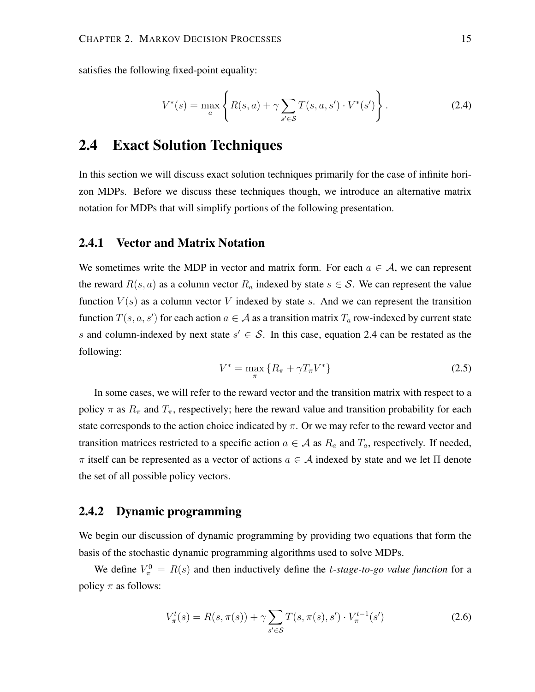satisfies the following fixed-point equality:

$$
V^*(s) = \max_{a} \left\{ R(s, a) + \gamma \sum_{s' \in S} T(s, a, s') \cdot V^*(s') \right\}.
$$
 (2.4)

# **2.4 Exact Solution Techniques**

In this section we will discuss exact solution techniques primarily for the case of infinite horizon MDPs. Before we discuss these techniques though, we introduce an alternative matrix notation for MDPs that will simplify portions of the following presentation.

## **2.4.1 Vector and Matrix Notation**

We sometimes write the MDP in vector and matrix form. For each  $a \in A$ , we can represent the reward  $R(s, a)$  as a column vector  $R_a$  indexed by state  $s \in S$ . We can represent the value function  $V(s)$  as a column vector V indexed by state s. And we can represent the transition function  $T(s, a, s')$  for each action  $a \in \mathcal{A}$  as a transition matrix  $T_a$  row-indexed by current state s and column-indexed by next state  $s' \in S$ . In this case, equation 2.4 can be restated as the following:

$$
V^* = \max_{\pi} \{ R_{\pi} + \gamma T_{\pi} V^* \}
$$
 (2.5)

In some cases, we will refer to the reward vector and the transition matrix with respect to a policy  $\pi$  as  $R_{\pi}$  and  $T_{\pi}$ , respectively; here the reward value and transition probability for each state corresponds to the action choice indicated by  $\pi$ . Or we may refer to the reward vector and transition matrices restricted to a specific action  $a \in A$  as  $R_a$  and  $T_a$ , respectively. If needed,  $\pi$  itself can be represented as a vector of actions  $a \in \mathcal{A}$  indexed by state and we let  $\Pi$  denote the set of all possible policy vectors.

## **2.4.2 Dynamic programming**

We begin our discussion of dynamic programming by providing two equations that form the basis of the stochastic dynamic programming algorithms used to solve MDPs.

We define  $V_{\pi}^0 = R(s)$  and then inductively define the *t*-stage-to-go value function for a policy  $\pi$  as follows:

$$
V_{\pi}^{t}(s) = R(s, \pi(s)) + \gamma \sum_{s' \in \mathcal{S}} T(s, \pi(s), s') \cdot V_{\pi}^{t-1}(s')
$$
\n(2.6)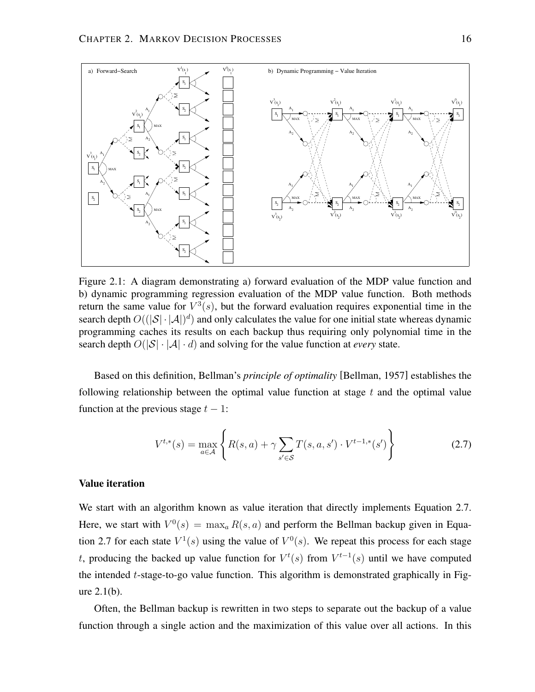

Figure 2.1: A diagram demonstrating a) forward evaluation of the MDP value function and b) dynamic programming regression evaluation of the MDP value function. Both methods return the same value for  $V^3(s)$ , but the forward evaluation requires exponential time in the search depth  $O((|S| \cdot |A|)^d)$  and only calculates the value for one initial state whereas dynamic programming caches its results on each backup thus requiring only polynomial time in the search depth  $O(|S| \cdot |A| \cdot d)$  and solving for the value function at *every* state.

Based on this definition, Bellman's *principle of optimality* [Bellman, 1957] establishes the following relationship between the optimal value function at stage  $t$  and the optimal value function at the previous stage  $t - 1$ :

$$
V^{t,*}(s) = \max_{a \in \mathcal{A}} \left\{ R(s, a) + \gamma \sum_{s' \in \mathcal{S}} T(s, a, s') \cdot V^{t-1,*}(s') \right\}
$$
(2.7)

### **Value iteration**

We start with an algorithm known as value iteration that directly implements Equation 2.7. Here, we start with  $V^0(s) = \max_a R(s, a)$  and perform the Bellman backup given in Equation 2.7 for each state  $V^1(s)$  using the value of  $V^0(s)$ . We repeat this process for each stage t, producing the backed up value function for  $V^t(s)$  from  $V^{t-1}(s)$  until we have computed the intended  $t$ -stage-to-go value function. This algorithm is demonstrated graphically in Figure 2.1(b).

Often, the Bellman backup is rewritten in two steps to separate out the backup of a value function through a single action and the maximization of this value over all actions. In this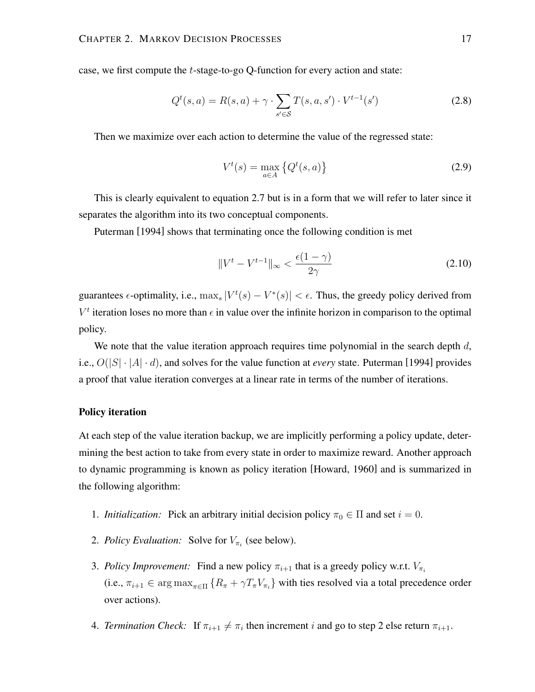case, we first compute the t-stage-to-go Q-function for every action and state:

$$
Q^{t}(s, a) = R(s, a) + \gamma \cdot \sum_{s' \in S} T(s, a, s') \cdot V^{t-1}(s')
$$
\n(2.8)

Then we maximize over each action to determine the value of the regressed state:

$$
V^t(s) = \max_{a \in A} \left\{ Q^t(s, a) \right\} \tag{2.9}
$$

This is clearly equivalent to equation 2.7 but is in a form that we will refer to later since it separates the algorithm into its two conceptual components.

Puterman [1994] shows that terminating once the following condition is met

$$
\|V^t - V^{t-1}\|_{\infty} < \frac{\epsilon(1-\gamma)}{2\gamma} \tag{2.10}
$$

guarantees  $\epsilon$ -optimality, i.e.,  $\max_s |V^t(s) - V^*(s)| < \epsilon$ . Thus, the greedy policy derived from  $V^t$  iteration loses no more than  $\epsilon$  in value over the infinite horizon in comparison to the optimal policy.

We note that the value iteration approach requires time polynomial in the search depth  $d$ , i.e.,  $O(|S| \cdot |A| \cdot d)$ , and solves for the value function at *every* state. Puterman [1994] provides a proof that value iteration converges at a linear rate in terms of the number of iterations.

#### **Policy iteration**

At each step of the value iteration backup, we are implicitly performing a policy update, determining the best action to take from every state in order to maximize reward. Another approach to dynamic programming is known as policy iteration [Howard, 1960] and is summarized in the following algorithm:

- 1. *Initialization:* Pick an arbitrary initial decision policy  $\pi_0 \in \Pi$  and set  $i = 0$ .
- 2. *Policy Evaluation:* Solve for  $V_{\pi_i}$  (see below).
- 3. *Policy Improvement:* Find a new policy  $\pi_{i+1}$  that is a greedy policy w.r.t.  $V_{\pi_i}$ (i.e.,  $\pi_{i+1} \in \arg \max_{\pi \in \Pi} \{ R_{\pi} + \gamma T_{\pi} V_{\pi_i} \}$  with ties resolved via a total precedence order over actions).
- 4. *Termination Check*: If  $\pi_{i+1} \neq \pi_i$  then increment i and go to step 2 else return  $\pi_{i+1}$ .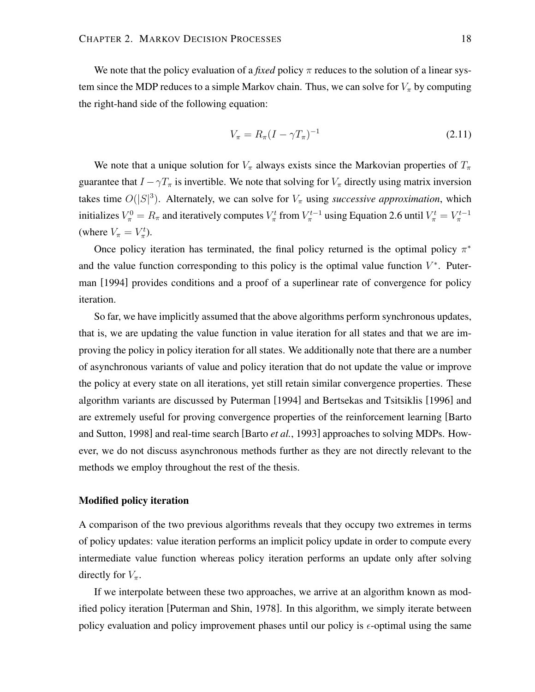We note that the policy evaluation of a *fixed* policy π reduces to the solution of a linear system since the MDP reduces to a simple Markov chain. Thus, we can solve for  $V_{\pi}$  by computing the right-hand side of the following equation:

$$
V_{\pi} = R_{\pi} (I - \gamma T_{\pi})^{-1}
$$
\n(2.11)

We note that a unique solution for  $V_\pi$  always exists since the Markovian properties of  $T_\pi$ guarantee that  $I - \gamma T_{\pi}$  is invertible. We note that solving for  $V_{\pi}$  directly using matrix inversion takes time  $O(|S|^3)$ . Alternately, we can solve for  $V_\pi$  using *successive approximation*, which initializes  $V^0_\pi = R_\pi$  and iteratively computes  $V^t_\pi$  from  $V^{t-1}_\pi$  using Equation 2.6 until  $V^t_\pi = V^{t-1}_\pi$ (where  $V_{\pi} = V_{\pi}^{t}$ ).

Once policy iteration has terminated, the final policy returned is the optimal policy  $\pi^*$ and the value function corresponding to this policy is the optimal value function  $V^*$ . Puterman [1994] provides conditions and a proof of a superlinear rate of convergence for policy iteration.

So far, we have implicitly assumed that the above algorithms perform synchronous updates, that is, we are updating the value function in value iteration for all states and that we are improving the policy in policy iteration for all states. We additionally note that there are a number of asynchronous variants of value and policy iteration that do not update the value or improve the policy at every state on all iterations, yet still retain similar convergence properties. These algorithm variants are discussed by Puterman [1994] and Bertsekas and Tsitsiklis [1996] and are extremely useful for proving convergence properties of the reinforcement learning [Barto and Sutton, 1998] and real-time search [Barto *et al.*, 1993] approaches to solving MDPs. However, we do not discuss asynchronous methods further as they are not directly relevant to the methods we employ throughout the rest of the thesis.

### **Modified policy iteration**

A comparison of the two previous algorithms reveals that they occupy two extremes in terms of policy updates: value iteration performs an implicit policy update in order to compute every intermediate value function whereas policy iteration performs an update only after solving directly for  $V_{\pi}$ .

If we interpolate between these two approaches, we arrive at an algorithm known as modified policy iteration [Puterman and Shin, 1978]. In this algorithm, we simply iterate between policy evaluation and policy improvement phases until our policy is  $\epsilon$ -optimal using the same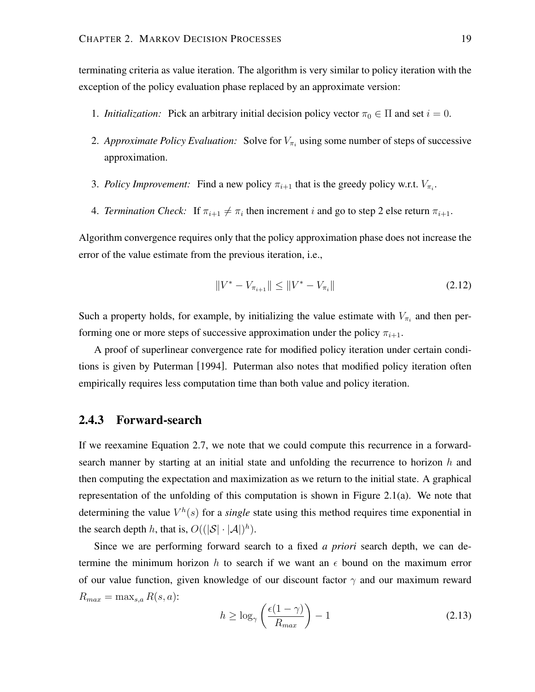terminating criteria as value iteration. The algorithm is very similar to policy iteration with the exception of the policy evaluation phase replaced by an approximate version:

- 1. *Initialization:* Pick an arbitrary initial decision policy vector  $\pi_0 \in \Pi$  and set  $i = 0$ .
- 2. Approximate Policy Evaluation: Solve for  $V_{\pi_i}$  using some number of steps of successive approximation.
- 3. *Policy Improvement:* Find a new policy  $\pi_{i+1}$  that is the greedy policy w.r.t.  $V_{\pi_i}$ .
- 4. *Termination Check*: If  $\pi_{i+1} \neq \pi_i$  then increment i and go to step 2 else return  $\pi_{i+1}$ .

Algorithm convergence requires only that the policy approximation phase does not increase the error of the value estimate from the previous iteration, i.e.,

$$
||V^* - V_{\pi_{i+1}}|| \le ||V^* - V_{\pi_i}|| \tag{2.12}
$$

Such a property holds, for example, by initializing the value estimate with  $V_{\pi_i}$  and then performing one or more steps of successive approximation under the policy  $\pi_{i+1}$ .

A proof of superlinear convergence rate for modified policy iteration under certain conditions is given by Puterman [1994]. Puterman also notes that modified policy iteration often empirically requires less computation time than both value and policy iteration.

## **2.4.3 Forward-search**

If we reexamine Equation 2.7, we note that we could compute this recurrence in a forwardsearch manner by starting at an initial state and unfolding the recurrence to horizon  $h$  and then computing the expectation and maximization as we return to the initial state. A graphical representation of the unfolding of this computation is shown in Figure 2.1(a). We note that determining the value  $V^h(s)$  for a *single* state using this method requires time exponential in the search depth h, that is,  $O((|\mathcal{S}| \cdot |\mathcal{A}|)^h)$ .

Since we are performing forward search to a fixed *a priori* search depth, we can determine the minimum horizon h to search if we want an  $\epsilon$  bound on the maximum error of our value function, given knowledge of our discount factor  $\gamma$  and our maximum reward  $R_{max} = \max_{s,a} R(s,a)$ :

$$
h \ge \log_{\gamma} \left( \frac{\epsilon (1 - \gamma)}{R_{max}} \right) - 1 \tag{2.13}
$$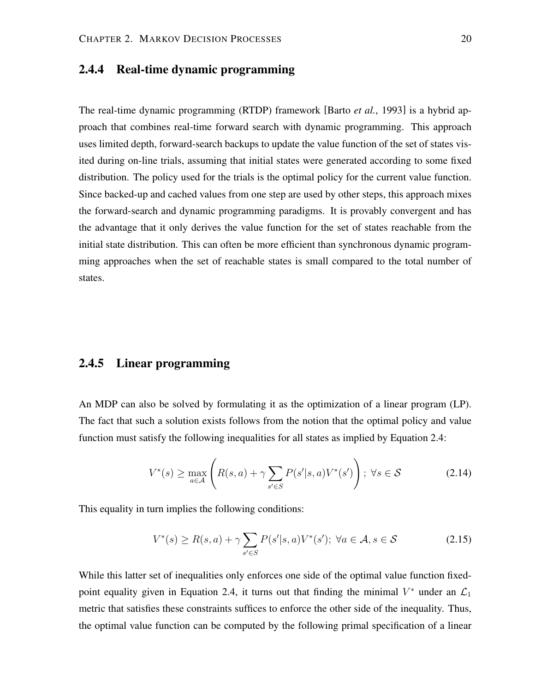# **2.4.4 Real-time dynamic programming**

The real-time dynamic programming (RTDP) framework [Barto *et al.*, 1993] is a hybrid approach that combines real-time forward search with dynamic programming. This approach uses limited depth, forward-search backups to update the value function of the set of states visited during on-line trials, assuming that initial states were generated according to some fixed distribution. The policy used for the trials is the optimal policy for the current value function. Since backed-up and cached values from one step are used by other steps, this approach mixes the forward-search and dynamic programming paradigms. It is provably convergent and has the advantage that it only derives the value function for the set of states reachable from the initial state distribution. This can often be more efficient than synchronous dynamic programming approaches when the set of reachable states is small compared to the total number of states.

# **2.4.5 Linear programming**

An MDP can also be solved by formulating it as the optimization of a linear program (LP). The fact that such a solution exists follows from the notion that the optimal policy and value function must satisfy the following inequalities for all states as implied by Equation 2.4:

$$
V^*(s) \ge \max_{a \in \mathcal{A}} \left( R(s, a) + \gamma \sum_{s' \in S} P(s'|s, a) V^*(s') \right); \ \forall s \in \mathcal{S}
$$
 (2.14)

This equality in turn implies the following conditions:

$$
V^*(s) \ge R(s,a) + \gamma \sum_{s' \in S} P(s'|s,a)V^*(s'); \ \forall a \in \mathcal{A}, s \in \mathcal{S}
$$
 (2.15)

While this latter set of inequalities only enforces one side of the optimal value function fixedpoint equality given in Equation 2.4, it turns out that finding the minimal  $V^*$  under an  $\mathcal{L}_1$ metric that satisfies these constraints suffices to enforce the other side of the inequality. Thus, the optimal value function can be computed by the following primal specification of a linear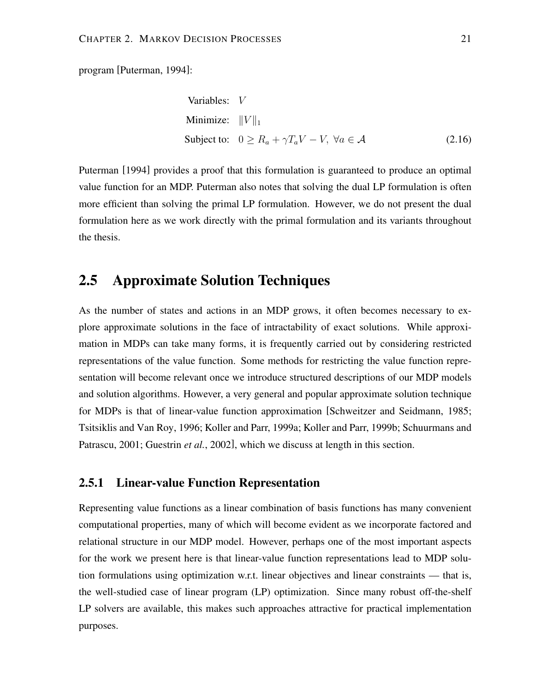program [Puterman, 1994]:

Variables: 
$$
V
$$
  
Minimize:  $||V||_1$   
Subject to:  $0 \ge R_a + \gamma T_a V - V$ ,  $\forall a \in \mathcal{A}$  (2.16)

Puterman [1994] provides a proof that this formulation is guaranteed to produce an optimal value function for an MDP. Puterman also notes that solving the dual LP formulation is often more efficient than solving the primal LP formulation. However, we do not present the dual formulation here as we work directly with the primal formulation and its variants throughout the thesis.

# **2.5 Approximate Solution Techniques**

As the number of states and actions in an MDP grows, it often becomes necessary to explore approximate solutions in the face of intractability of exact solutions. While approximation in MDPs can take many forms, it is frequently carried out by considering restricted representations of the value function. Some methods for restricting the value function representation will become relevant once we introduce structured descriptions of our MDP models and solution algorithms. However, a very general and popular approximate solution technique for MDPs is that of linear-value function approximation [Schweitzer and Seidmann, 1985; Tsitsiklis and Van Roy, 1996; Koller and Parr, 1999a; Koller and Parr, 1999b; Schuurmans and Patrascu, 2001; Guestrin *et al.*, 2002], which we discuss at length in this section.

## **2.5.1 Linear-value Function Representation**

Representing value functions as a linear combination of basis functions has many convenient computational properties, many of which will become evident as we incorporate factored and relational structure in our MDP model. However, perhaps one of the most important aspects for the work we present here is that linear-value function representations lead to MDP solution formulations using optimization w.r.t. linear objectives and linear constraints — that is, the well-studied case of linear program (LP) optimization. Since many robust off-the-shelf LP solvers are available, this makes such approaches attractive for practical implementation purposes.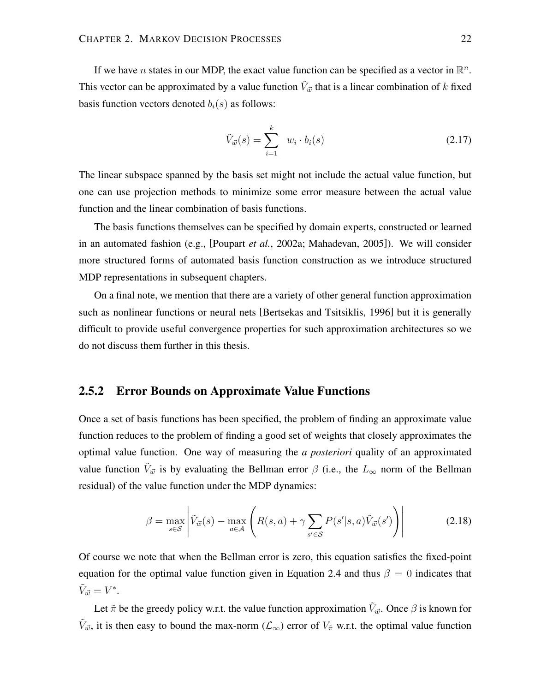If we have *n* states in our MDP, the exact value function can be specified as a vector in  $\mathbb{R}^n$ . This vector can be approximated by a value function  $\tilde{V}_{\vec{w}}$  that is a linear combination of k fixed basis function vectors denoted  $b_i(s)$  as follows:

$$
\tilde{V}_{\vec{w}}(s) = \sum_{i=1}^{k} w_i \cdot b_i(s) \qquad (2.17)
$$

The linear subspace spanned by the basis set might not include the actual value function, but one can use projection methods to minimize some error measure between the actual value function and the linear combination of basis functions.

The basis functions themselves can be specified by domain experts, constructed or learned in an automated fashion (e.g., [Poupart *et al.*, 2002a; Mahadevan, 2005]). We will consider more structured forms of automated basis function construction as we introduce structured MDP representations in subsequent chapters.

On a final note, we mention that there are a variety of other general function approximation such as nonlinear functions or neural nets [Bertsekas and Tsitsiklis, 1996] but it is generally difficult to provide useful convergence properties for such approximation architectures so we do not discuss them further in this thesis.

# **2.5.2 Error Bounds on Approximate Value Functions**

Once a set of basis functions has been specified, the problem of finding an approximate value function reduces to the problem of finding a good set of weights that closely approximates the optimal value function. One way of measuring the *a posteriori* quality of an approximated value function  $\tilde{V}_{\vec{w}}$  is by evaluating the Bellman error  $\beta$  (i.e., the  $L_{\infty}$  norm of the Bellman residual) of the value function under the MDP dynamics:

$$
\beta = \max_{s \in \mathcal{S}} \left| \tilde{V}_{\vec{w}}(s) - \max_{a \in \mathcal{A}} \left( R(s, a) + \gamma \sum_{s' \in \mathcal{S}} P(s'|s, a) \tilde{V}_{\vec{w}}(s') \right) \right| \tag{2.18}
$$

Of course we note that when the Bellman error is zero, this equation satisfies the fixed-point equation for the optimal value function given in Equation 2.4 and thus  $\beta = 0$  indicates that  $\tilde{V}_{\vec{w}}=V^*$ .

Let  $\tilde{\pi}$  be the greedy policy w.r.t. the value function approximation  $\tilde{V}_{\vec{w}}$ . Once  $\beta$  is known for  $\tilde{V}_{\vec{w}}$ , it is then easy to bound the max-norm  $(\mathcal{L}_{\infty})$  error of  $V_{\tilde{\pi}}$  w.r.t. the optimal value function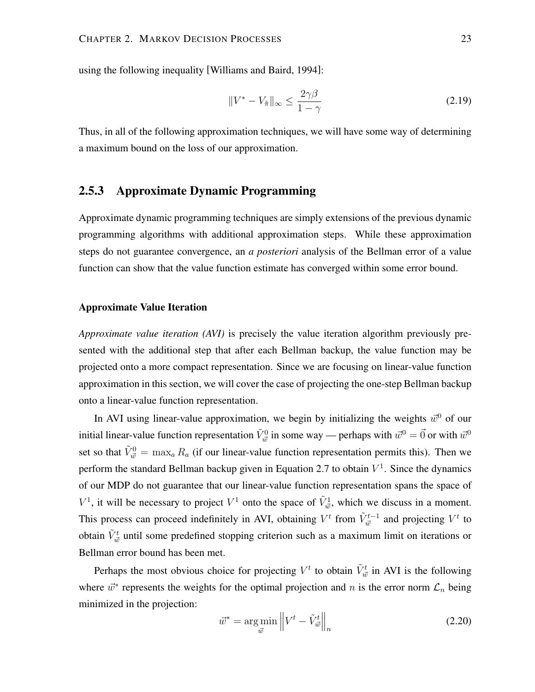using the following inequality [Williams and Baird, 1994]:

$$
||V^* - V_{\tilde{\pi}}||_{\infty} \le \frac{2\gamma\beta}{1-\gamma}
$$
\n(2.19)

Thus, in all of the following approximation techniques, we will have some way of determining a maximum bound on the loss of our approximation.

## **2.5.3 Approximate Dynamic Programming**

Approximate dynamic programming techniques are simply extensions of the previous dynamic programming algorithms with additional approximation steps. While these approximation steps do not guarantee convergence, an *a posteriori* analysis of the Bellman error of a value function can show that the value function estimate has converged within some error bound.

## **Approximate Value Iteration**

*Approximate value iteration (AVI)* is precisely the value iteration algorithm previously presented with the additional step that after each Bellman backup, the value function may be projected onto a more compact representation. Since we are focusing on linear-value function approximation in this section, we will cover the case of projecting the one-step Bellman backup onto a linear-value function representation.

In AVI using linear-value approximation, we begin by initializing the weights  $\vec{w}^0$  of our initial linear-value function representation  $\tilde{V}^0_{\vec{w}}$  in some way — perhaps with  $\vec{w}^0=\vec{0}$  or with  $\vec{w}^0$ set so that  $\tilde{V}^0_{\vec{w}} = \max_a R_a$  (if our linear-value function representation permits this). Then we perform the standard Bellman backup given in Equation 2.7 to obtain  $V^1$ . Since the dynamics of our MDP do not guarantee that our linear-value function representation spans the space of  $V^1$ , it will be necessary to project  $V^1$  onto the space of  $\tilde{V}^1_{\vec{w}}$ , which we discuss in a moment. This process can proceed indefinitely in AVI, obtaining  $V^t$  from  $\tilde{V}^{t-1}_{\vec{w}}$  and projecting  $V^t$  to obtain  $\tilde{V}^t_{\vec{w}}$  until some predefined stopping criterion such as a maximum limit on iterations or Bellman error bound has been met.

Perhaps the most obvious choice for projecting  $V^t$  to obtain  $\tilde{V}^t_{\vec{w}}$  in AVI is the following where  $\vec{w}^*$  represents the weights for the optimal projection and n is the error norm  $\mathcal{L}_n$  being minimized in the projection:

$$
\vec{w}^* = \underset{\vec{w}}{\text{arg min}} \left\| V^t - \tilde{V}_{\vec{w}}^t \right\|_n \tag{2.20}
$$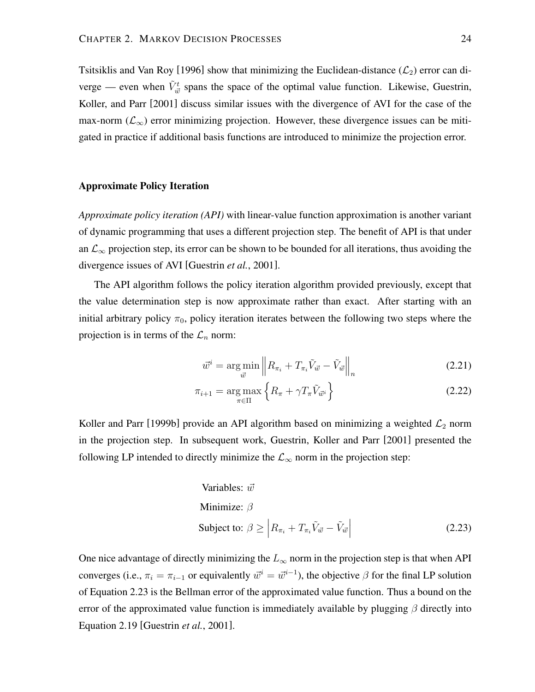Tsitsiklis and Van Roy [1996] show that minimizing the Euclidean-distance  $(\mathcal{L}_2)$  error can diverge — even when  $\tilde{V}_{\vec{w}}^t$  spans the space of the optimal value function. Likewise, Guestrin, Koller, and Parr [2001] discuss similar issues with the divergence of AVI for the case of the max-norm ( $\mathcal{L}_{\infty}$ ) error minimizing projection. However, these divergence issues can be mitigated in practice if additional basis functions are introduced to minimize the projection error.

### **Approximate Policy Iteration**

*Approximate policy iteration (API)* with linear-value function approximation is another variant of dynamic programming that uses a different projection step. The benefit of API is that under an  $\mathcal{L}_{\infty}$  projection step, its error can be shown to be bounded for all iterations, thus avoiding the divergence issues of AVI [Guestrin *et al.*, 2001].

The API algorithm follows the policy iteration algorithm provided previously, except that the value determination step is now approximate rather than exact. After starting with an initial arbitrary policy  $\pi_0$ , policy iteration iterates between the following two steps where the projection is in terms of the  $\mathcal{L}_n$  norm:

$$
\vec{w}^i = \underset{\vec{w}}{\arg \min} \left\| R_{\pi_i} + T_{\pi_i} \tilde{V}_{\vec{w}} - \tilde{V}_{\vec{w}} \right\|_n \tag{2.21}
$$

$$
\pi_{i+1} = \underset{\pi \in \Pi}{\arg \max} \left\{ R_{\pi} + \gamma T_{\pi} \tilde{V}_{\vec{w}^i} \right\} \tag{2.22}
$$

Koller and Parr [1999b] provide an API algorithm based on minimizing a weighted  $\mathcal{L}_2$  norm in the projection step. In subsequent work, Guestrin, Koller and Parr [2001] presented the following LP intended to directly minimize the  $\mathcal{L}_{\infty}$  norm in the projection step:

Variables: 
$$
\vec{w}
$$
  
Minimize:  $\beta$   
Subject to:  $\beta \ge |R_{\pi_i} + T_{\pi_i} \tilde{V}_{\vec{w}} - \tilde{V}_{\vec{w}}|$  (2.23)

One nice advantage of directly minimizing the  $L_{\infty}$  norm in the projection step is that when API converges (i.e.,  $\pi_i = \pi_{i-1}$  or equivalently  $\vec{w}^i = \vec{w}^{i-1}$ ), the objective  $\beta$  for the final LP solution of Equation 2.23 is the Bellman error of the approximated value function. Thus a bound on the error of the approximated value function is immediately available by plugging  $\beta$  directly into Equation 2.19 [Guestrin *et al.*, 2001].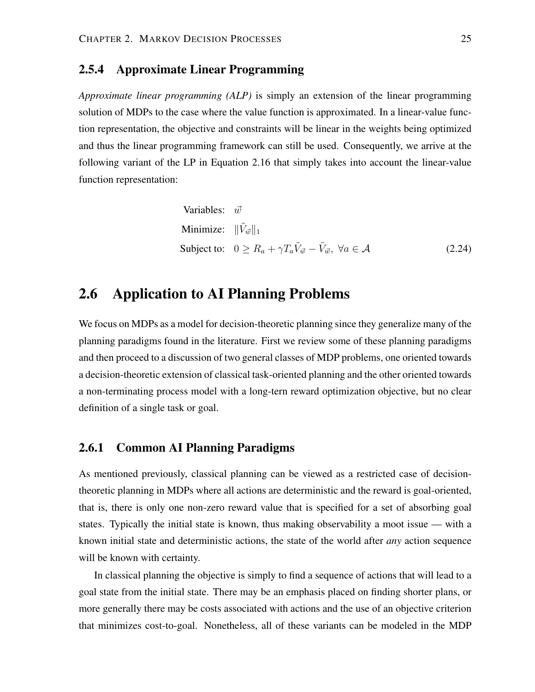## **2.5.4 Approximate Linear Programming**

*Approximate linear programming (ALP)* is simply an extension of the linear programming solution of MDPs to the case where the value function is approximated. In a linear-value function representation, the objective and constraints will be linear in the weights being optimized and thus the linear programming framework can still be used. Consequently, we arrive at the following variant of the LP in Equation 2.16 that simply takes into account the linear-value function representation:

Variables: 
$$
\vec{w}
$$
  
Minimize:  $\|\tilde{V}_{\vec{w}}\|_1$   
Subject to:  $0 \ge R_a + \gamma T_a \tilde{V}_{\vec{w}} - \tilde{V}_{\vec{w}}, \ \forall a \in \mathcal{A}$  (2.24)

# **2.6 Application to AI Planning Problems**

We focus on MDPs as a model for decision-theoretic planning since they generalize many of the planning paradigms found in the literature. First we review some of these planning paradigms and then proceed to a discussion of two general classes of MDP problems, one oriented towards a decision-theoretic extension of classical task-oriented planning and the other oriented towards a non-terminating process model with a long-tern reward optimization objective, but no clear definition of a single task or goal.

## **2.6.1 Common AI Planning Paradigms**

As mentioned previously, classical planning can be viewed as a restricted case of decisiontheoretic planning in MDPs where all actions are deterministic and the reward is goal-oriented, that is, there is only one non-zero reward value that is specified for a set of absorbing goal states. Typically the initial state is known, thus making observability a moot issue — with a known initial state and deterministic actions, the state of the world after *any* action sequence will be known with certainty.

In classical planning the objective is simply to find a sequence of actions that will lead to a goal state from the initial state. There may be an emphasis placed on finding shorter plans, or more generally there may be costs associated with actions and the use of an objective criterion that minimizes cost-to-goal. Nonetheless, all of these variants can be modeled in the MDP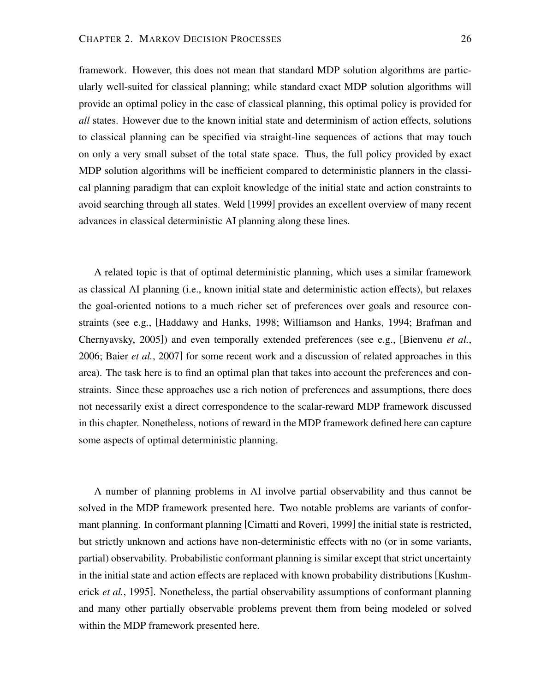framework. However, this does not mean that standard MDP solution algorithms are particularly well-suited for classical planning; while standard exact MDP solution algorithms will provide an optimal policy in the case of classical planning, this optimal policy is provided for *all* states. However due to the known initial state and determinism of action effects, solutions to classical planning can be specified via straight-line sequences of actions that may touch on only a very small subset of the total state space. Thus, the full policy provided by exact MDP solution algorithms will be inefficient compared to deterministic planners in the classical planning paradigm that can exploit knowledge of the initial state and action constraints to avoid searching through all states. Weld [1999] provides an excellent overview of many recent advances in classical deterministic AI planning along these lines.

A related topic is that of optimal deterministic planning, which uses a similar framework as classical AI planning (i.e., known initial state and deterministic action effects), but relaxes the goal-oriented notions to a much richer set of preferences over goals and resource constraints (see e.g., [Haddawy and Hanks, 1998; Williamson and Hanks, 1994; Brafman and Chernyavsky, 2005]) and even temporally extended preferences (see e.g., [Bienvenu *et al.*, 2006; Baier *et al.*, 2007] for some recent work and a discussion of related approaches in this area). The task here is to find an optimal plan that takes into account the preferences and constraints. Since these approaches use a rich notion of preferences and assumptions, there does not necessarily exist a direct correspondence to the scalar-reward MDP framework discussed in this chapter. Nonetheless, notions of reward in the MDP framework defined here can capture some aspects of optimal deterministic planning.

A number of planning problems in AI involve partial observability and thus cannot be solved in the MDP framework presented here. Two notable problems are variants of conformant planning. In conformant planning [Cimatti and Roveri, 1999] the initial state is restricted, but strictly unknown and actions have non-deterministic effects with no (or in some variants, partial) observability. Probabilistic conformant planning is similar except that strict uncertainty in the initial state and action effects are replaced with known probability distributions [Kushmerick *et al.*, 1995]. Nonetheless, the partial observability assumptions of conformant planning and many other partially observable problems prevent them from being modeled or solved within the MDP framework presented here.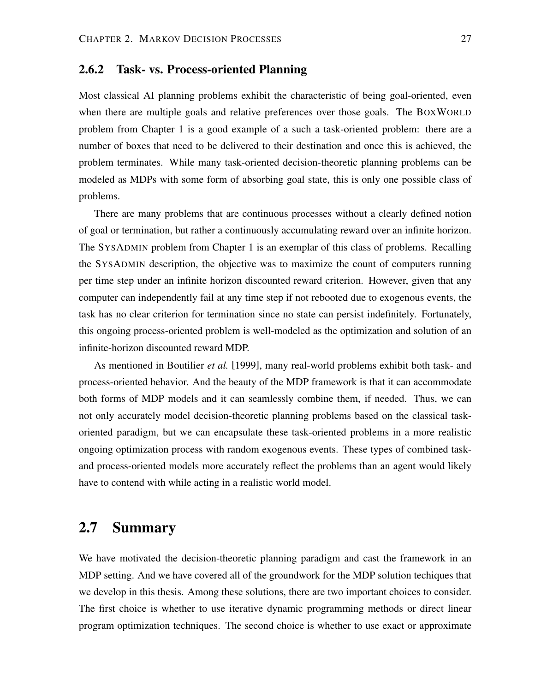## **2.6.2 Task- vs. Process-oriented Planning**

Most classical AI planning problems exhibit the characteristic of being goal-oriented, even when there are multiple goals and relative preferences over those goals. The BOXWORLD problem from Chapter 1 is a good example of a such a task-oriented problem: there are a number of boxes that need to be delivered to their destination and once this is achieved, the problem terminates. While many task-oriented decision-theoretic planning problems can be modeled as MDPs with some form of absorbing goal state, this is only one possible class of problems.

There are many problems that are continuous processes without a clearly defined notion of goal or termination, but rather a continuously accumulating reward over an infinite horizon. The SYSADMIN problem from Chapter 1 is an exemplar of this class of problems. Recalling the SYSADMIN description, the objective was to maximize the count of computers running per time step under an infinite horizon discounted reward criterion. However, given that any computer can independently fail at any time step if not rebooted due to exogenous events, the task has no clear criterion for termination since no state can persist indefinitely. Fortunately, this ongoing process-oriented problem is well-modeled as the optimization and solution of an infinite-horizon discounted reward MDP.

As mentioned in Boutilier *et al.* [1999], many real-world problems exhibit both task- and process-oriented behavior. And the beauty of the MDP framework is that it can accommodate both forms of MDP models and it can seamlessly combine them, if needed. Thus, we can not only accurately model decision-theoretic planning problems based on the classical taskoriented paradigm, but we can encapsulate these task-oriented problems in a more realistic ongoing optimization process with random exogenous events. These types of combined taskand process-oriented models more accurately reflect the problems than an agent would likely have to contend with while acting in a realistic world model.

# **2.7 Summary**

We have motivated the decision-theoretic planning paradigm and cast the framework in an MDP setting. And we have covered all of the groundwork for the MDP solution techiques that we develop in this thesis. Among these solutions, there are two important choices to consider. The first choice is whether to use iterative dynamic programming methods or direct linear program optimization techniques. The second choice is whether to use exact or approximate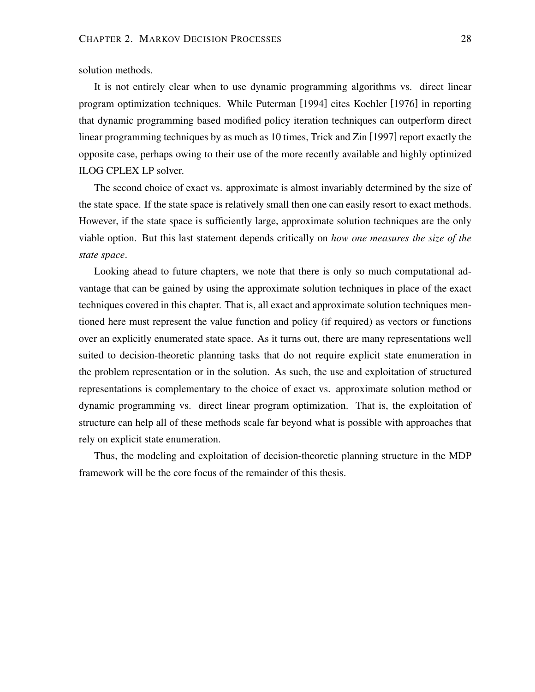solution methods.

It is not entirely clear when to use dynamic programming algorithms vs. direct linear program optimization techniques. While Puterman [1994] cites Koehler [1976] in reporting that dynamic programming based modified policy iteration techniques can outperform direct linear programming techniques by as much as 10 times, Trick and Zin [1997] report exactly the opposite case, perhaps owing to their use of the more recently available and highly optimized ILOG CPLEX LP solver.

The second choice of exact vs. approximate is almost invariably determined by the size of the state space. If the state space is relatively small then one can easily resort to exact methods. However, if the state space is sufficiently large, approximate solution techniques are the only viable option. But this last statement depends critically on *how one measures the size of the state space*.

Looking ahead to future chapters, we note that there is only so much computational advantage that can be gained by using the approximate solution techniques in place of the exact techniques covered in this chapter. That is, all exact and approximate solution techniques mentioned here must represent the value function and policy (if required) as vectors or functions over an explicitly enumerated state space. As it turns out, there are many representations well suited to decision-theoretic planning tasks that do not require explicit state enumeration in the problem representation or in the solution. As such, the use and exploitation of structured representations is complementary to the choice of exact vs. approximate solution method or dynamic programming vs. direct linear program optimization. That is, the exploitation of structure can help all of these methods scale far beyond what is possible with approaches that rely on explicit state enumeration.

Thus, the modeling and exploitation of decision-theoretic planning structure in the MDP framework will be the core focus of the remainder of this thesis.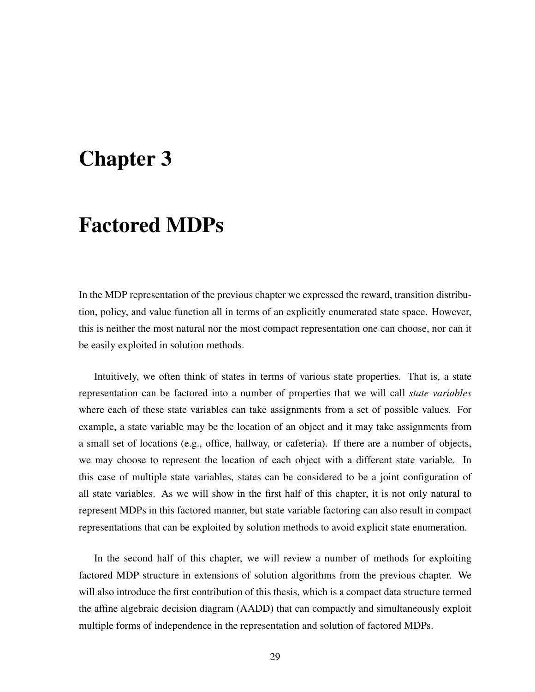# **Chapter 3**

# **Factored MDPs**

In the MDP representation of the previous chapter we expressed the reward, transition distribution, policy, and value function all in terms of an explicitly enumerated state space. However, this is neither the most natural nor the most compact representation one can choose, nor can it be easily exploited in solution methods.

Intuitively, we often think of states in terms of various state properties. That is, a state representation can be factored into a number of properties that we will call *state variables* where each of these state variables can take assignments from a set of possible values. For example, a state variable may be the location of an object and it may take assignments from a small set of locations (e.g., office, hallway, or cafeteria). If there are a number of objects, we may choose to represent the location of each object with a different state variable. In this case of multiple state variables, states can be considered to be a joint configuration of all state variables. As we will show in the first half of this chapter, it is not only natural to represent MDPs in this factored manner, but state variable factoring can also result in compact representations that can be exploited by solution methods to avoid explicit state enumeration.

In the second half of this chapter, we will review a number of methods for exploiting factored MDP structure in extensions of solution algorithms from the previous chapter. We will also introduce the first contribution of this thesis, which is a compact data structure termed the affine algebraic decision diagram (AADD) that can compactly and simultaneously exploit multiple forms of independence in the representation and solution of factored MDPs.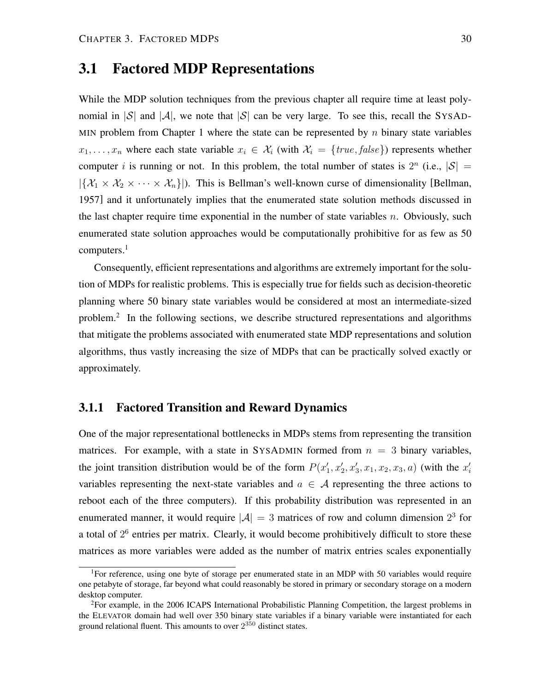# **3.1 Factored MDP Representations**

While the MDP solution techniques from the previous chapter all require time at least polynomial in  $|S|$  and  $|A|$ , we note that  $|S|$  can be very large. To see this, recall the SYSAD-MIN problem from Chapter 1 where the state can be represented by  $n$  binary state variables  $x_1, \ldots, x_n$  where each state variable  $x_i \in \mathcal{X}_i$  (with  $\mathcal{X}_i = \{true, false\}$ ) represents whether computer *i* is running or not. In this problem, the total number of states is  $2^n$  (i.e.,  $|S|$  =  $|\{\mathcal{X}_1 \times \mathcal{X}_2 \times \cdots \times \mathcal{X}_n\}|$ ). This is Bellman's well-known curse of dimensionality [Bellman, 1957] and it unfortunately implies that the enumerated state solution methods discussed in the last chapter require time exponential in the number of state variables  $n$ . Obviously, such enumerated state solution approaches would be computationally prohibitive for as few as 50 computers.<sup>1</sup>

Consequently, efficient representations and algorithms are extremely important for the solution of MDPs for realistic problems. This is especially true for fields such as decision-theoretic planning where 50 binary state variables would be considered at most an intermediate-sized problem.<sup>2</sup> In the following sections, we describe structured representations and algorithms that mitigate the problems associated with enumerated state MDP representations and solution algorithms, thus vastly increasing the size of MDPs that can be practically solved exactly or approximately.

# **3.1.1 Factored Transition and Reward Dynamics**

One of the major representational bottlenecks in MDPs stems from representing the transition matrices. For example, with a state in SYSADMIN formed from  $n = 3$  binary variables, the joint transition distribution would be of the form  $P(x'_1, x'_2, x'_3, x_1, x_2, x_3, a)$  (with the  $x'_i$ variables representing the next-state variables and  $a \in \mathcal{A}$  representing the three actions to reboot each of the three computers). If this probability distribution was represented in an enumerated manner, it would require  $|\mathcal{A}| = 3$  matrices of row and column dimension  $2^3$  for a total of  $2<sup>6</sup>$  entries per matrix. Clearly, it would become prohibitively difficult to store these matrices as more variables were added as the number of matrix entries scales exponentially

<sup>&</sup>lt;sup>1</sup>For reference, using one byte of storage per enumerated state in an MDP with 50 variables would require one petabyte of storage, far beyond what could reasonably be stored in primary or secondary storage on a modern desktop computer.

 ${}^{2}$ For example, in the 2006 ICAPS International Probabilistic Planning Competition, the largest problems in the ELEVATOR domain had well over 350 binary state variables if a binary variable were instantiated for each ground relational fluent. This amounts to over  $2^{350}$  distinct states.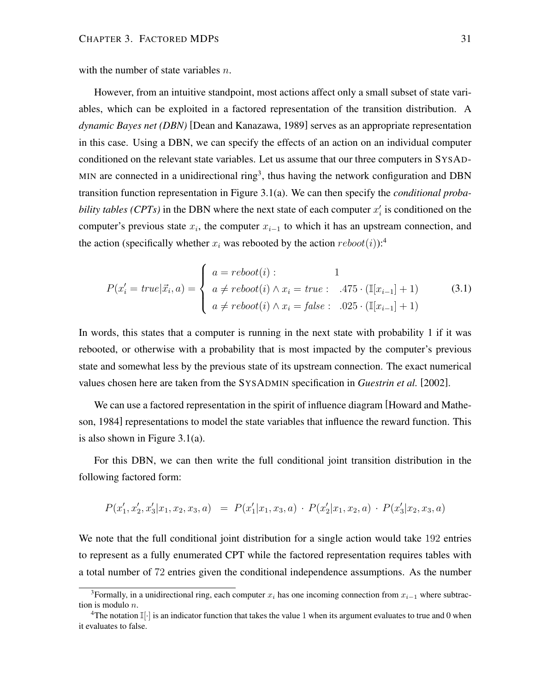with the number of state variables  $n$ .

However, from an intuitive standpoint, most actions affect only a small subset of state variables, which can be exploited in a factored representation of the transition distribution. A *dynamic Bayes net (DBN)* [Dean and Kanazawa, 1989] serves as an appropriate representation in this case. Using a DBN, we can specify the effects of an action on an individual computer conditioned on the relevant state variables. Let us assume that our three computers in SYSAD-MIN are connected in a unidirectional ring<sup>3</sup>, thus having the network configuration and DBN transition function representation in Figure 3.1(a). We can then specify the *conditional probability tables (CPTs)* in the DBN where the next state of each computer  $x_i'$  is conditioned on the computer's previous state  $x_i$ , the computer  $x_{i-1}$  to which it has an upstream connection, and the action (specifically whether  $x_i$  was rebooted by the action  $reboot(i)$ :<sup>4</sup>

$$
P(x'_{i} = true | \vec{x}_{i}, a) = \begin{cases} a = reboot(i): & 1\\ a \neq reboot(i) \land x_{i} = true: & .475 \cdot (\mathbb{I}[x_{i-1}] + 1) \\ a \neq reboot(i) \land x_{i} = false: & .025 \cdot (\mathbb{I}[x_{i-1}] + 1) \end{cases}
$$
(3.1)

In words, this states that a computer is running in the next state with probability 1 if it was rebooted, or otherwise with a probability that is most impacted by the computer's previous state and somewhat less by the previous state of its upstream connection. The exact numerical values chosen here are taken from the SYSADMIN specification in *Guestrin et al.* [2002].

We can use a factored representation in the spirit of influence diagram [Howard and Matheson, 1984] representations to model the state variables that influence the reward function. This is also shown in Figure 3.1(a).

For this DBN, we can then write the full conditional joint transition distribution in the following factored form:

$$
P(x'_1, x'_2, x'_3 | x_1, x_2, x_3, a) = P(x'_1 | x_1, x_3, a) \cdot P(x'_2 | x_1, x_2, a) \cdot P(x'_3 | x_2, x_3, a)
$$

We note that the full conditional joint distribution for a single action would take 192 entries to represent as a fully enumerated CPT while the factored representation requires tables with a total number of 72 entries given the conditional independence assumptions. As the number

<sup>&</sup>lt;sup>3</sup>Formally, in a unidirectional ring, each computer  $x_i$  has one incoming connection from  $x_{i-1}$  where subtraction is modulo n.

<sup>&</sup>lt;sup>4</sup>The notation  $\mathbb{I}[\cdot]$  is an indicator function that takes the value 1 when its argument evaluates to true and 0 when it evaluates to false.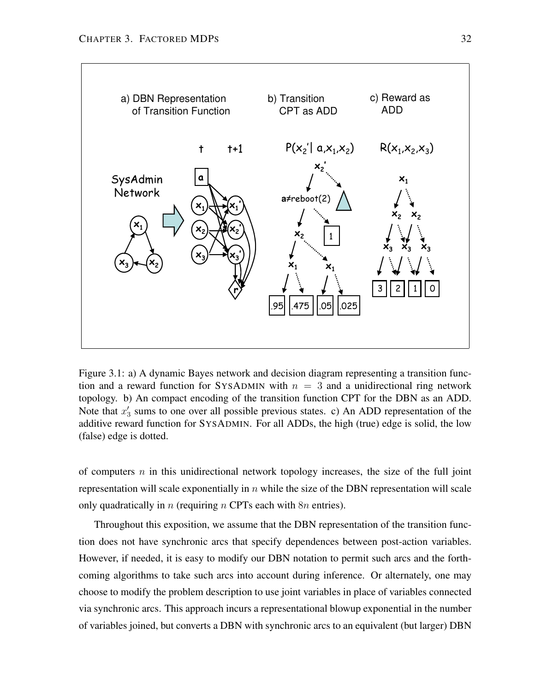

Figure 3.1: a) A dynamic Bayes network and decision diagram representing a transition function and a reward function for SYSADMIN with  $n = 3$  and a unidirectional ring network topology. b) An compact encoding of the transition function CPT for the DBN as an ADD. Note that  $x'_3$  sums to one over all possible previous states. c) An ADD representation of the additive reward function for SYSADMIN. For all ADDs, the high (true) edge is solid, the low (false) edge is dotted.

of computers  $n$  in this unidirectional network topology increases, the size of the full joint representation will scale exponentially in  $n$  while the size of the DBN representation will scale only quadratically in n (requiring n CPTs each with  $8n$  entries).

Throughout this exposition, we assume that the DBN representation of the transition function does not have synchronic arcs that specify dependences between post-action variables. However, if needed, it is easy to modify our DBN notation to permit such arcs and the forthcoming algorithms to take such arcs into account during inference. Or alternately, one may choose to modify the problem description to use joint variables in place of variables connected via synchronic arcs. This approach incurs a representational blowup exponential in the number of variables joined, but converts a DBN with synchronic arcs to an equivalent (but larger) DBN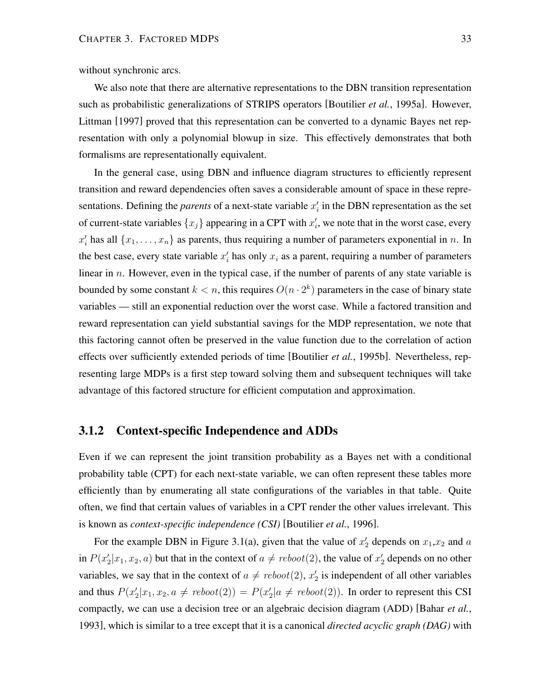without synchronic arcs.

We also note that there are alternative representations to the DBN transition representation such as probabilistic generalizations of STRIPS operators [Boutilier *et al.*, 1995a]. However, Littman [1997] proved that this representation can be converted to a dynamic Bayes net representation with only a polynomial blowup in size. This effectively demonstrates that both formalisms are representationally equivalent.

In the general case, using DBN and influence diagram structures to efficiently represent transition and reward dependencies often saves a considerable amount of space in these representations. Defining the *parents* of a next-state variable  $x_i$  in the DBN representation as the set of current-state variables  $\{x_j\}$  appearing in a CPT with  $x'_i$ , we note that in the worst case, every  $x'_i$  has all  $\{x_1, \ldots, x_n\}$  as parents, thus requiring a number of parameters exponential in n. In the best case, every state variable  $x_i'$  has only  $x_i$  as a parent, requiring a number of parameters linear in  $n$ . However, even in the typical case, if the number of parents of any state variable is bounded by some constant  $k < n$ , this requires  $O(n \cdot 2^k)$  parameters in the case of binary state variables — still an exponential reduction over the worst case. While a factored transition and reward representation can yield substantial savings for the MDP representation, we note that this factoring cannot often be preserved in the value function due to the correlation of action effects over sufficiently extended periods of time [Boutilier *et al.*, 1995b]. Nevertheless, representing large MDPs is a first step toward solving them and subsequent techniques will take advantage of this factored structure for efficient computation and approximation.

# **3.1.2 Context-specific Independence and ADDs**

Even if we can represent the joint transition probability as a Bayes net with a conditional probability table (CPT) for each next-state variable, we can often represent these tables more efficiently than by enumerating all state configurations of the variables in that table. Quite often, we find that certain values of variables in a CPT render the other values irrelevant. This is known as *context-specific independence (CSI)* [Boutilier *et al.*, 1996].

For the example DBN in Figure 3.1(a), given that the value of  $x'_2$  depends on  $x_1, x_2$  and a in  $P(x_2'|x_1, x_2, a)$  but that in the context of  $a \neq reboot(2)$ , the value of  $x_2'$  depends on no other variables, we say that in the context of  $a \neq \text{reboot}(2)$ ,  $x'_2$  is independent of all other variables and thus  $P(x_2'|x_1, x_2, a \neq \text{reboot}(2)) = P(x_2'|a \neq \text{reboot}(2))$ . In order to represent this CSI compactly, we can use a decision tree or an algebraic decision diagram (ADD) [Bahar *et al.*, 1993], which is similar to a tree except that it is a canonical *directed acyclic graph (DAG)* with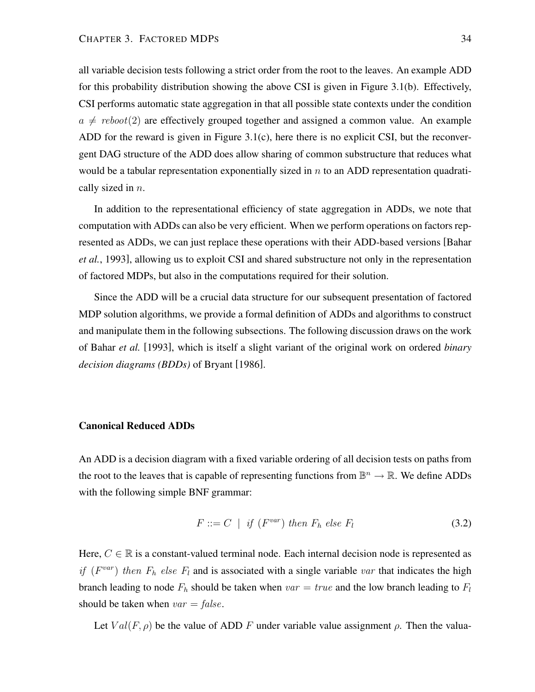all variable decision tests following a strict order from the root to the leaves. An example ADD for this probability distribution showing the above CSI is given in Figure 3.1(b). Effectively, CSI performs automatic state aggregation in that all possible state contexts under the condition  $a \neq \text{reboot}(2)$  are effectively grouped together and assigned a common value. An example ADD for the reward is given in Figure 3.1(c), here there is no explicit CSI, but the reconvergent DAG structure of the ADD does allow sharing of common substructure that reduces what would be a tabular representation exponentially sized in  $n$  to an ADD representation quadratically sized in  $n$ .

In addition to the representational efficiency of state aggregation in ADDs, we note that computation with ADDs can also be very efficient. When we perform operations on factors represented as ADDs, we can just replace these operations with their ADD-based versions [Bahar *et al.*, 1993], allowing us to exploit CSI and shared substructure not only in the representation of factored MDPs, but also in the computations required for their solution.

Since the ADD will be a crucial data structure for our subsequent presentation of factored MDP solution algorithms, we provide a formal definition of ADDs and algorithms to construct and manipulate them in the following subsections. The following discussion draws on the work of Bahar *et al.* [1993], which is itself a slight variant of the original work on ordered *binary decision diagrams (BDDs)* of Bryant [1986].

### **Canonical Reduced ADDs**

An ADD is a decision diagram with a fixed variable ordering of all decision tests on paths from the root to the leaves that is capable of representing functions from  $\mathbb{B}^n \to \mathbb{R}$ . We define ADDs with the following simple BNF grammar:

$$
F ::= C \mid \text{if } (F^{var}) \text{ then } F_h \text{ else } F_l \tag{3.2}
$$

Here,  $C \in \mathbb{R}$  is a constant-valued terminal node. Each internal decision node is represented as if ( $F^{var}$ ) then  $F_h$  else  $F_l$  and is associated with a single variable var that indicates the high branch leading to node  $F_h$  should be taken when  $var = true$  and the low branch leading to  $F_l$ should be taken when  $var = false$ .

Let  $Val(F, \rho)$  be the value of ADD F under variable value assignment  $\rho$ . Then the valua-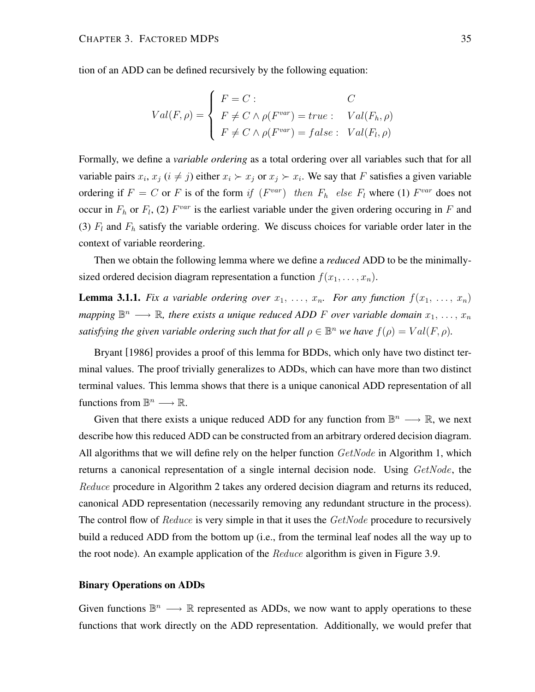tion of an ADD can be defined recursively by the following equation:

$$
Val(F, \rho) = \begin{cases} F = C: & C \\ F \neq C \land \rho(F^{var}) = true: & Val(F_h, \rho) \\ F \neq C \land \rho(F^{var}) = false: & Val(F_l, \rho) \end{cases}
$$

Formally, we define a *variable ordering* as a total ordering over all variables such that for all variable pairs  $x_i$ ,  $x_j$  ( $i \neq j$ ) either  $x_i \succ x_j$  or  $x_j \succ x_i$ . We say that F satisfies a given variable ordering if  $F = C$  or F is of the form if  $(F^{var})$  then  $F_h$  else  $F_l$  where (1)  $F^{var}$  does not occur in  $F_h$  or  $F_l$ , (2)  $F^{var}$  is the earliest variable under the given ordering occuring in F and (3)  $F_l$  and  $F_h$  satisfy the variable ordering. We discuss choices for variable order later in the context of variable reordering.

Then we obtain the following lemma where we define a *reduced* ADD to be the minimallysized ordered decision diagram representation a function  $f(x_1, \ldots, x_n)$ .

**Lemma 3.1.1.** *Fix a variable ordering over*  $x_1, \ldots, x_n$ *. For any function*  $f(x_1, \ldots, x_n)$ mapping  $\mathbb{B}^n \longrightarrow \mathbb{R}$ , there exists a unique reduced ADD F over variable domain  $x_1, \ldots, x_n$ *satisfying the given variable ordering such that for all*  $\rho \in \mathbb{B}^n$  *we have*  $f(\rho) = Val(F, \rho)$ *.* 

Bryant [1986] provides a proof of this lemma for BDDs, which only have two distinct terminal values. The proof trivially generalizes to ADDs, which can have more than two distinct terminal values. This lemma shows that there is a unique canonical ADD representation of all functions from  $\mathbb{B}^n \longrightarrow \mathbb{R}$ .

Given that there exists a unique reduced ADD for any function from  $\mathbb{B}^n \longrightarrow \mathbb{R}$ , we next describe how this reduced ADD can be constructed from an arbitrary ordered decision diagram. All algorithms that we will define rely on the helper function  $GetNode$  in Algorithm 1, which returns a canonical representation of a single internal decision node. Using GetNode, the Reduce procedure in Algorithm 2 takes any ordered decision diagram and returns its reduced, canonical ADD representation (necessarily removing any redundant structure in the process). The control flow of Reduce is very simple in that it uses the GetNode procedure to recursively build a reduced ADD from the bottom up (i.e., from the terminal leaf nodes all the way up to the root node). An example application of the *Reduce* algorithm is given in Figure 3.9.

#### **Binary Operations on ADDs**

Given functions  $\mathbb{B}^n \longrightarrow \mathbb{R}$  represented as ADDs, we now want to apply operations to these functions that work directly on the ADD representation. Additionally, we would prefer that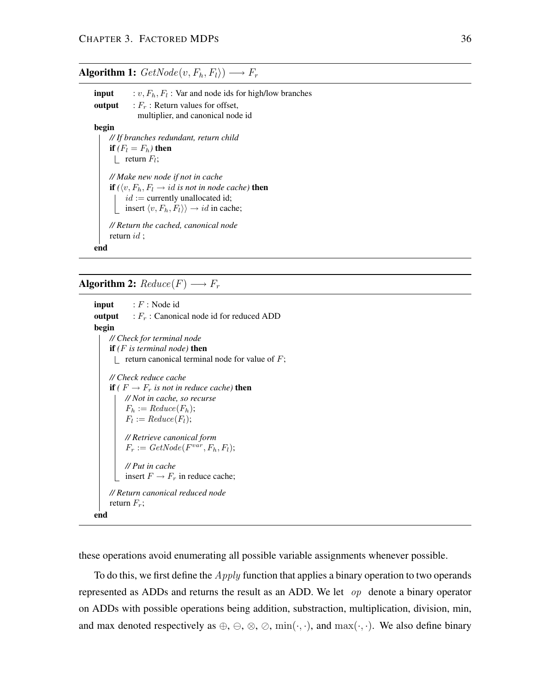# **Algorithm 1:**  $GetNode(v, F_h, F_l)$   $\longrightarrow$   $F_r$ **input**  $: v, F_h, F_l:$  Var and node ids for high/low branches **output** :  $F_r$ : Return values for offset, multiplier, and canonical node id **begin**

*// If branches redundant, return child* **if**  $(F_l = F_h)$  **then** return  $F_l$ ; *// Make new node if not in cache* **if**  $(\langle v, F_h, F_l \rightarrow id \text{ is not in node cache})$  **then**  $id :=$  currently unallocated id; insert  $\langle v, F_h, F_l \rangle \rangle \rightarrow id$  in cache; *// Return the cached, canonical node* return id ;

**Algorithm 2:**  $Reduce(F) \longrightarrow F_r$ 

**end**

**input** : F: Node id **output** :  $F_r$ : Canonical node id for reduced ADD **begin** *// Check for terminal node* **if** *(*F *is terminal node)* **then**  $\parallel$  return canonical terminal node for value of F; *// Check reduce cache* **if**  $(F \rightarrow F_r$  *is not in reduce cache*) **then** *// Not in cache, so recurse*  $F_h := Reduce(F_h);$  $F_l := Reduce(F_l);$ *// Retrieve canonical form*  $F_r := GetNode(F^{var}, F_h, F_l);$ *// Put in cache* insert  $F \to F_r$  in reduce cache; *// Return canonical reduced node* return  $F_r$ ; **end**

these operations avoid enumerating all possible variable assignments whenever possible.

To do this, we first define the  $Apply$  function that applies a binary operation to two operands represented as ADDs and returns the result as an ADD. We let  $op$  denote a binary operator on ADDs with possible operations being addition, substraction, multiplication, division, min, and max denoted respectively as  $\oplus$ ,  $\ominus$ ,  $\otimes$ ,  $\oslash$ ,  $\min(\cdot, \cdot)$ , and  $\max(\cdot, \cdot)$ . We also define binary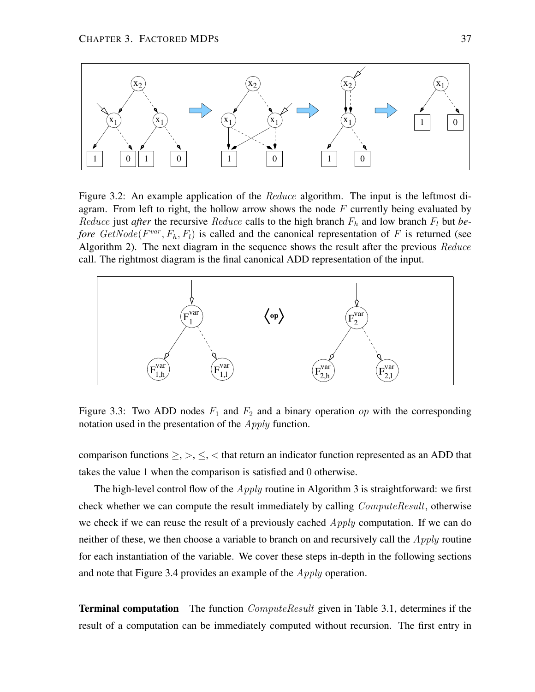

Figure 3.2: An example application of the *Reduce* algorithm. The input is the leftmost diagram. From left to right, the hollow arrow shows the node  $F$  currently being evaluated by *Reduce* just *after* the recursive *Reduce* calls to the high branch  $F_h$  and low branch  $F_l$  but *before*  $GetNode(F^{var}, F_h, F_l)$  is called and the canonical representation of F is returned (see Algorithm 2). The next diagram in the sequence shows the result after the previous Reduce call. The rightmost diagram is the final canonical ADD representation of the input.



Figure 3.3: Two ADD nodes  $F_1$  and  $F_2$  and a binary operation op with the corresponding notation used in the presentation of the *Apply* function.

comparison functions  $\geq, \geq, \leq, \leq$  that return an indicator function represented as an ADD that takes the value 1 when the comparison is satisfied and 0 otherwise.

The high-level control flow of the  $Apply$  routine in Algorithm 3 is straightforward: we first check whether we can compute the result immediately by calling *ComputeResult*, otherwise we check if we can reuse the result of a previously cached  $Apply$  computation. If we can do neither of these, we then choose a variable to branch on and recursively call the  $Apply$  routine for each instantiation of the variable. We cover these steps in-depth in the following sections and note that Figure 3.4 provides an example of the *Apply* operation.

**Terminal computation** The function *ComputeResult* given in Table 3.1, determines if the result of a computation can be immediately computed without recursion. The first entry in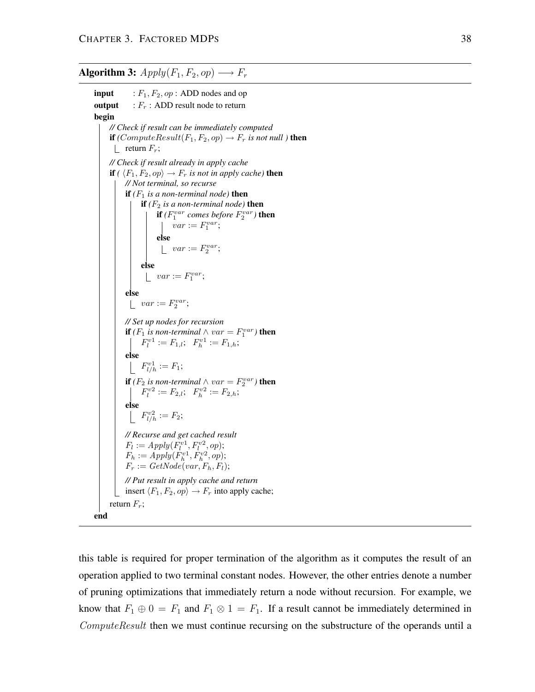**Algorithm 3:**  $Apply(F_1, F_2, op) \longrightarrow F_r$ 

**input** :  $F_1, F_2, op$ : ADD nodes and op **output** :  $F_r$ : ADD result node to return **begin** *// Check if result can be immediately computed* **if**  $(ComputeResult(F_1, F_2, op) \rightarrow F_r$  *is not null* ) **then** | return  $F_r$ ; *// Check if result already in apply cache* **if**  $(\langle F_1, F_2, op \rangle \rightarrow F_r$  *is not in apply cache*) **then** *// Not terminal, so recurse* **if**  $(F_1$  *is a non-terminal node*) **then if**  $(F_2$  *is a non-terminal node*) **then if**  $(F_1^{var}$  comes before  $F_2^{var}$ ) **then**  $var := F_1^{var};$ **else**  $var := F_2^{var};$ **else**  $var := F_1^{var};$ **else**  $var := F_2^{var};$ *// Set up nodes for recursion* **if**  $(F_1$  *is non-terminal*  $\wedge var = F_1^{var}$  **then**  $F_l^{v1} := F_{1,l}; \ \ F_h^{v1} := F_{1,h};$ **else**  $F_{l/h}^{v1} := F_1;$ **if**  $(F_2$  *is non-terminal*  $\wedge var = F_2^{var}$  **then**  $F_l^{v2} := F_{2,l}; \ \ F_h^{v2} := F_{2,h};$ **else**  $F_{l/h}^{v2} := F_2;$ *// Recurse and get cached result*  $F_l := Apply(F_l^{v1}, F_l^{v2}, op);$  $F_h := Apply(F_h^{v1}, F_h^{v2}, op);$  $F_r := GetNode(var, F_h, F_l);$ *// Put result in apply cache and return* insert  $\langle F_1,F_2,op\rangle \rightarrow F_r$  into apply cache; return  $F_r$ ; **end**

this table is required for proper termination of the algorithm as it computes the result of an operation applied to two terminal constant nodes. However, the other entries denote a number of pruning optimizations that immediately return a node without recursion. For example, we know that  $F_1 \oplus 0 = F_1$  and  $F_1 \otimes 1 = F_1$ . If a result cannot be immediately determined in ComputeResult then we must continue recursing on the substructure of the operands until a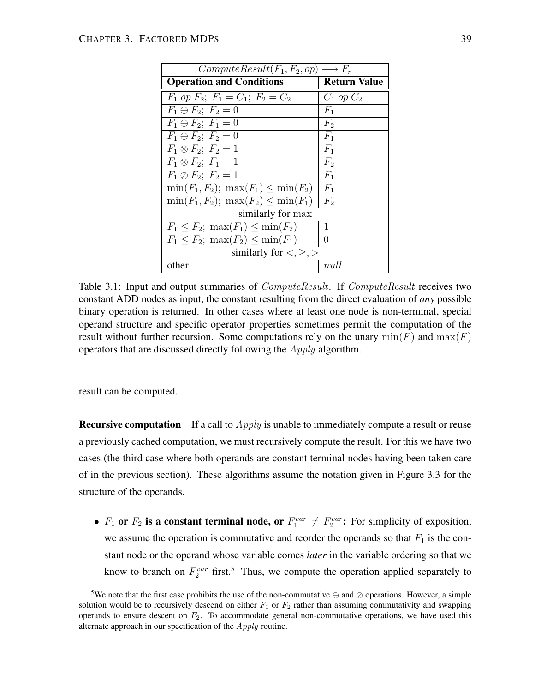| $ComputeResult(F_1, F_2, op) \longrightarrow F_r$ |                     |
|---------------------------------------------------|---------------------|
| <b>Operation and Conditions</b>                   | <b>Return Value</b> |
| $F_1$ op $F_2$ ; $F_1 = C_1$ ; $F_2 = C_2$        | $C_1$ op $C_2$      |
| $F_1 \oplus F_2$ ; $F_2 = 0$                      | $F_1$               |
| $F_1 \oplus F_2$ ; $F_1 = 0$                      | F <sub>2</sub>      |
| $F_1 \ominus F_2$ ; $F_2 = 0$                     | $F_1$               |
| $F_1 \otimes F_2$ ; $F_2 = 1$                     | $F_1$               |
| $F_1 \otimes F_2$ ; $F_1 = 1$                     | F <sub>2</sub>      |
| $F_1 \oslash F_2$ ; $F_2 = 1$                     | $F_1$               |
| $\min(F_1, F_2); \max(F_1) \leq \min(F_2)$        | $F_1$               |
| $\min(F_1, F_2)$ ; $\max(F_2) \leq \min(F_1)$     | F <sub>2</sub>      |
| similarly for max                                 |                     |
| $F_1 \leq F_2$ ; $\max(F_1) \leq \min(F_2)$       | 1                   |
| $F_1 \leq F_2$ ; max $(F_2) \leq \min(F_1)$       | $\left( \right)$    |
| similarly for $\lt, \ge$ , $\gt$                  |                     |
| other                                             | null                |

Table 3.1: Input and output summaries of *ComputeResult*. If *ComputeResult* receives two constant ADD nodes as input, the constant resulting from the direct evaluation of *any* possible binary operation is returned. In other cases where at least one node is non-terminal, special operand structure and specific operator properties sometimes permit the computation of the result without further recursion. Some computations rely on the unary  $min(F)$  and  $max(F)$ operators that are discussed directly following the Apply algorithm.

result can be computed.

**Recursive computation** If a call to *Apply* is unable to immediately compute a result or reuse a previously cached computation, we must recursively compute the result. For this we have two cases (the third case where both operands are constant terminal nodes having been taken care of in the previous section). These algorithms assume the notation given in Figure 3.3 for the structure of the operands.

•  $F_1$  or  $F_2$  is a constant terminal node, or  $F_1^{var} \neq F_2^{var}$ : For simplicity of exposition, we assume the operation is commutative and reorder the operands so that  $F_1$  is the constant node or the operand whose variable comes *later* in the variable ordering so that we know to branch on  $F_2^{var}$  first.<sup>5</sup> Thus, we compute the operation applied separately to

<sup>&</sup>lt;sup>5</sup>We note that the first case prohibits the use of the non-commutative  $\ominus$  and  $\oslash$  operations. However, a simple solution would be to recursively descend on either  $F_1$  or  $F_2$  rather than assuming commutativity and swapping operands to ensure descent on  $F_2$ . To accommodate general non-commutative operations, we have used this alternate approach in our specification of the Apply routine.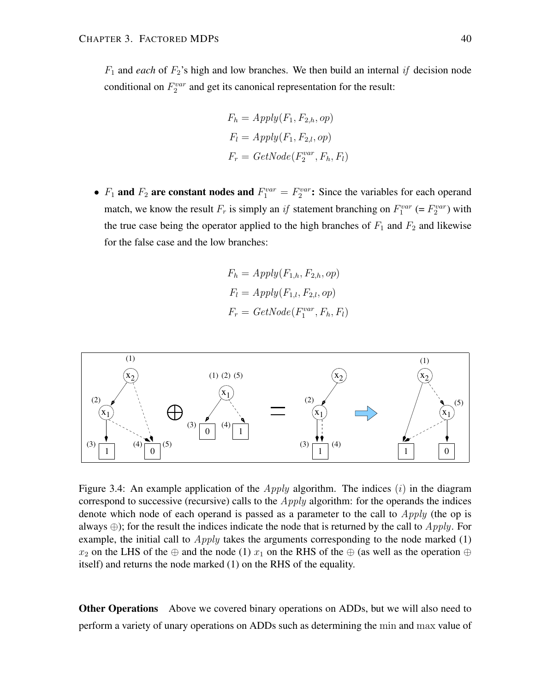$F_1$  and *each* of  $F_2$ 's high and low branches. We then build an internal if decision node conditional on  $F_2^{var}$  and get its canonical representation for the result:

$$
F_h = Apply(F_1, F_{2,h}, op)
$$
  
\n
$$
F_l = Apply(F_1, F_{2,l}, op)
$$
  
\n
$$
F_r = GetNode(F_2^{var}, F_h, F_l)
$$

•  $F_1$  and  $F_2$  are constant nodes and  $F_1^{var} = F_2^{var}$ : Since the variables for each operand match, we know the result  $F_r$  is simply an if statement branching on  $F_1^{var}$  (=  $F_2^{var}$ ) with the true case being the operator applied to the high branches of  $F_1$  and  $F_2$  and likewise for the false case and the low branches:

$$
F_h = Apply(F_{1,h}, F_{2,h}, op)
$$
  
\n
$$
F_l = Apply(F_{1,l}, F_{2,l}, op)
$$
  
\n
$$
F_r = GetNode(F_1^{var}, F_h, F_l)
$$



Figure 3.4: An example application of the *Apply* algorithm. The indices  $(i)$  in the diagram correspond to successive (recursive) calls to the  $Apply$  algorithm: for the operands the indices denote which node of each operand is passed as a parameter to the call to  $Apply$  (the op is always  $\oplus$ ); for the result the indices indicate the node that is returned by the call to  $Apply$ . For example, the initial call to  $Apply$  takes the arguments corresponding to the node marked  $(1)$  $x_2$  on the LHS of the ⊕ and the node (1)  $x_1$  on the RHS of the ⊕ (as well as the operation ⊕ itself) and returns the node marked (1) on the RHS of the equality.

**Other Operations** Above we covered binary operations on ADDs, but we will also need to perform a variety of unary operations on ADDs such as determining the min and max value of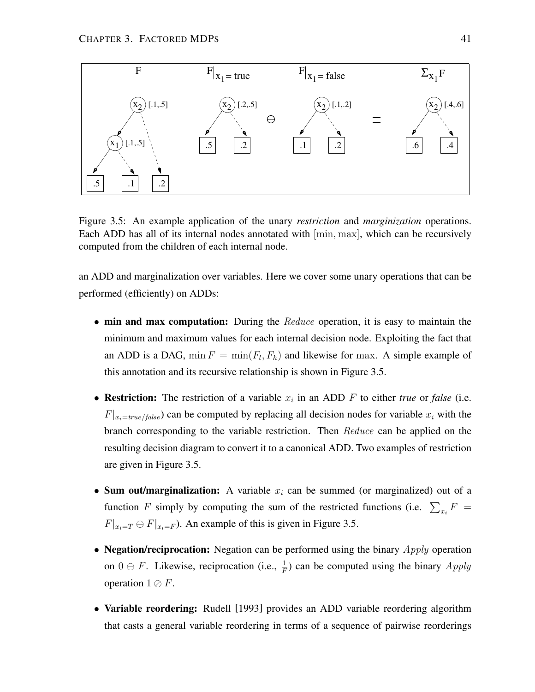

Figure 3.5: An example application of the unary *restriction* and *marginization* operations. Each ADD has all of its internal nodes annotated with [min, max], which can be recursively computed from the children of each internal node.

an ADD and marginalization over variables. Here we cover some unary operations that can be performed (efficiently) on ADDs:

- **min and max computation:** During the Reduce operation, it is easy to maintain the minimum and maximum values for each internal decision node. Exploiting the fact that an ADD is a DAG,  $\min F = \min(F_l, F_h)$  and likewise for max. A simple example of this annotation and its recursive relationship is shown in Figure 3.5.
- **Restriction:** The restriction of a variable  $x_i$  in an ADD  $F$  to either *true* or *false* (i.e.  $F|_{x_i=true/false}$  can be computed by replacing all decision nodes for variable  $x_i$  with the branch corresponding to the variable restriction. Then Reduce can be applied on the resulting decision diagram to convert it to a canonical ADD. Two examples of restriction are given in Figure 3.5.
- **Sum out/marginalization:** A variable  $x_i$  can be summed (or marginalized) out of a function F simply by computing the sum of the restricted functions (i.e.  $\sum_{x_i} F =$  $F|_{x_i=T} \oplus F|_{x_i=F}$ ). An example of this is given in Figure 3.5.
- **Negation/reciprocation:** Negation can be performed using the binary *Apply* operation on  $0 \ominus F$ . Likewise, reciprocation (i.e.,  $\frac{1}{F}$ ) can be computed using the binary  $Apply$ operation  $1 \oslash F$ .
- **Variable reordering:** Rudell [1993] provides an ADD variable reordering algorithm that casts a general variable reordering in terms of a sequence of pairwise reorderings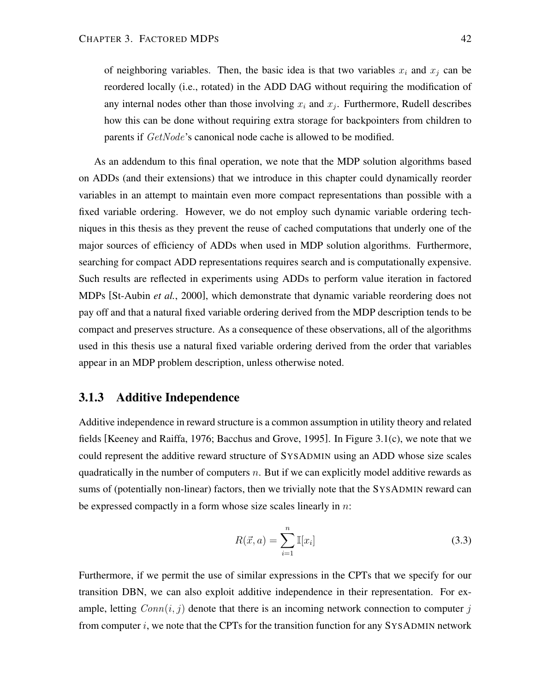of neighboring variables. Then, the basic idea is that two variables  $x_i$  and  $x_j$  can be reordered locally (i.e., rotated) in the ADD DAG without requiring the modification of any internal nodes other than those involving  $x_i$  and  $x_j$ . Furthermore, Rudell describes how this can be done without requiring extra storage for backpointers from children to parents if  $GetNode$ 's canonical node cache is allowed to be modified.

As an addendum to this final operation, we note that the MDP solution algorithms based on ADDs (and their extensions) that we introduce in this chapter could dynamically reorder variables in an attempt to maintain even more compact representations than possible with a fixed variable ordering. However, we do not employ such dynamic variable ordering techniques in this thesis as they prevent the reuse of cached computations that underly one of the major sources of efficiency of ADDs when used in MDP solution algorithms. Furthermore, searching for compact ADD representations requires search and is computationally expensive. Such results are reflected in experiments using ADDs to perform value iteration in factored MDPs [St-Aubin *et al.*, 2000], which demonstrate that dynamic variable reordering does not pay off and that a natural fixed variable ordering derived from the MDP description tends to be compact and preserves structure. As a consequence of these observations, all of the algorithms used in this thesis use a natural fixed variable ordering derived from the order that variables appear in an MDP problem description, unless otherwise noted.

## **3.1.3 Additive Independence**

Additive independence in reward structure is a common assumption in utility theory and related fields [Keeney and Raiffa, 1976; Bacchus and Grove, 1995]. In Figure 3.1(c), we note that we could represent the additive reward structure of SYSADMIN using an ADD whose size scales quadratically in the number of computers  $n$ . But if we can explicitly model additive rewards as sums of (potentially non-linear) factors, then we trivially note that the SYSADMIN reward can be expressed compactly in a form whose size scales linearly in  $n$ :

$$
R(\vec{x}, a) = \sum_{i=1}^{n} \mathbb{I}[x_i]
$$
\n(3.3)

Furthermore, if we permit the use of similar expressions in the CPTs that we specify for our transition DBN, we can also exploit additive independence in their representation. For example, letting  $Conn(i, j)$  denote that there is an incoming network connection to computer j from computer  $i$ , we note that the CPTs for the transition function for any SYSADMIN network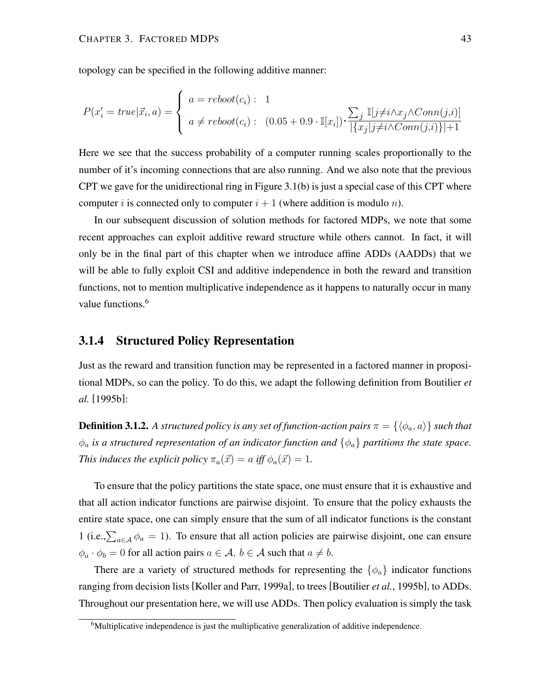topology can be specified in the following additive manner:

$$
P(x'_{i} = true | \vec{x}_{i}, a) = \begin{cases} a = reboot(c_{i}) : 1 \\ a \neq reboot(c_{i}) : (0.05 + 0.9 \cdot \mathbb{I}[x_{i}]) \cdot \frac{\sum_{j} \mathbb{I}[j \neq i \land x_{j} \land Conn(j, i)]}{|\{x_{j}|j \neq i \land Conn(j, i)\}| + 1} \end{cases}
$$

Here we see that the success probability of a computer running scales proportionally to the number of it's incoming connections that are also running. And we also note that the previous CPT we gave for the unidirectional ring in Figure 3.1(b) is just a special case of this CPT where computer i is connected only to computer  $i + 1$  (where addition is modulo n).

In our subsequent discussion of solution methods for factored MDPs, we note that some recent approaches can exploit additive reward structure while others cannot. In fact, it will only be in the final part of this chapter when we introduce affine ADDs (AADDs) that we will be able to fully exploit CSI and additive independence in both the reward and transition functions, not to mention multiplicative independence as it happens to naturally occur in many value functions.<sup>6</sup>

# **3.1.4 Structured Policy Representation**

Just as the reward and transition function may be represented in a factored manner in propositional MDPs, so can the policy. To do this, we adapt the following definition from Boutilier *et al.* [1995b]:

**Definition 3.1.2.** A structured policy is any set of function-action pairs  $\pi = \{\langle \phi_a, a \rangle\}$  such that  $\phi_a$  *is a structured representation of an indicator function and*  $\{\phi_a\}$  *partitions the state space. This induces the explicit policy*  $\pi_a(\vec{x}) = a$  *iff*  $\phi_a(\vec{x}) = 1$ *.* 

To ensure that the policy partitions the state space, one must ensure that it is exhaustive and that all action indicator functions are pairwise disjoint. To ensure that the policy exhausts the entire state space, one can simply ensure that the sum of all indicator functions is the constant 1 (i.e.,  $\sum_{a \in A} \phi_a = 1$ ). To ensure that all action policies are pairwise disjoint, one can ensure  $\phi_a \cdot \phi_b = 0$  for all action pairs  $a \in \mathcal{A}, b \in \mathcal{A}$  such that  $a \neq b$ .

There are a variety of structured methods for representing the  $\{\phi_a\}$  indicator functions ranging from decision lists [Koller and Parr, 1999a], to trees [Boutilier *et al.*, 1995b], to ADDs. Throughout our presentation here, we will use ADDs. Then policy evaluation is simply the task

 $6$ Multiplicative independence is just the multiplicative generalization of additive independence.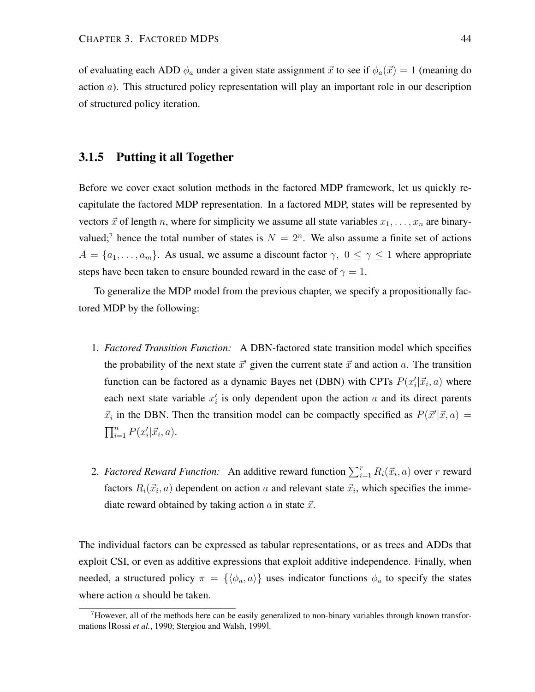of evaluating each ADD  $\phi_a$  under a given state assignment  $\vec{x}$  to see if  $\phi_a(\vec{x}) = 1$  (meaning do action a). This structured policy representation will play an important role in our description of structured policy iteration.

## **3.1.5 Putting it all Together**

Before we cover exact solution methods in the factored MDP framework, let us quickly recapitulate the factored MDP representation. In a factored MDP, states will be represented by vectors  $\vec{x}$  of length n, where for simplicity we assume all state variables  $x_1, \ldots, x_n$  are binaryvalued;<sup>7</sup> hence the total number of states is  $N = 2<sup>n</sup>$ . We also assume a finite set of actions  $A = \{a_1, \ldots, a_m\}$ . As usual, we assume a discount factor  $\gamma$ ,  $0 \leq \gamma \leq 1$  where appropriate steps have been taken to ensure bounded reward in the case of  $\gamma = 1$ .

To generalize the MDP model from the previous chapter, we specify a propositionally factored MDP by the following:

- 1. *Factored Transition Function:* A DBN-factored state transition model which specifies the probability of the next state  $\vec{x}'$  given the current state  $\vec{x}$  and action a. The transition function can be factored as a dynamic Bayes net (DBN) with CPTs  $P(x_i' | \vec{x_i}, a)$  where each next state variable  $x_i'$  is only dependent upon the action  $a$  and its direct parents  $\vec{x}_i$  in the DBN. Then the transition model can be compactly specified as  $P(\vec{x}'|\vec{x}, a) =$  $\prod_{i=1}^n P(x'_i|\vec{x}_i, a).$
- 2. *Factored Reward Function:* An additive reward function  $\sum_{i=1}^{r} R_i(\vec{x}_i, a)$  over r reward factors  $R_i(\vec{x}_i, a)$  dependent on action a and relevant state  $\vec{x}_i$ , which specifies the immediate reward obtained by taking action  $\alpha$  in state  $\vec{x}$ .

The individual factors can be expressed as tabular representations, or as trees and ADDs that exploit CSI, or even as additive expressions that exploit additive independence. Finally, when needed, a structured policy  $\pi = {\{\langle \phi_a, a \rangle\}}$  uses indicator functions  $\phi_a$  to specify the states where action a should be taken.

 $7$ However, all of the methods here can be easily generalized to non-binary variables through known transformations [Rossi *et al.*, 1990; Stergiou and Walsh, 1999].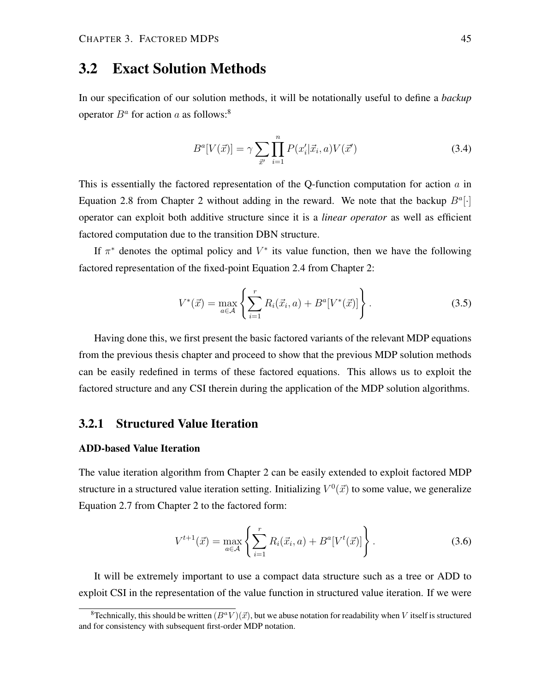# **3.2 Exact Solution Methods**

In our specification of our solution methods, it will be notationally useful to define a *backup* operator  $B^a$  for action a as follows:<sup>8</sup>

$$
B^{a}[V(\vec{x})] = \gamma \sum_{\vec{x}'} \prod_{i=1}^{n} P(x'_{i}|\vec{x}_{i}, a)V(\vec{x}') \qquad (3.4)
$$

This is essentially the factored representation of the Q-function computation for action  $a$  in Equation 2.8 from Chapter 2 without adding in the reward. We note that the backup  $B^a[\cdot]$ operator can exploit both additive structure since it is a *linear operator* as well as efficient factored computation due to the transition DBN structure.

If  $\pi^*$  denotes the optimal policy and  $V^*$  its value function, then we have the following factored representation of the fixed-point Equation 2.4 from Chapter 2:

$$
V^*(\vec{x}) = \max_{a \in \mathcal{A}} \left\{ \sum_{i=1}^r R_i(\vec{x}_i, a) + B^a[V^*(\vec{x})] \right\}.
$$
 (3.5)

Having done this, we first present the basic factored variants of the relevant MDP equations from the previous thesis chapter and proceed to show that the previous MDP solution methods can be easily redefined in terms of these factored equations. This allows us to exploit the factored structure and any CSI therein during the application of the MDP solution algorithms.

# **3.2.1 Structured Value Iteration**

## **ADD-based Value Iteration**

The value iteration algorithm from Chapter 2 can be easily extended to exploit factored MDP structure in a structured value iteration setting. Initializing  $V^0(\vec{x})$  to some value, we generalize Equation 2.7 from Chapter 2 to the factored form:

$$
V^{t+1}(\vec{x}) = \max_{a \in \mathcal{A}} \left\{ \sum_{i=1}^{r} R_i(\vec{x}_i, a) + B^a[V^t(\vec{x})] \right\}.
$$
 (3.6)

It will be extremely important to use a compact data structure such as a tree or ADD to exploit CSI in the representation of the value function in structured value iteration. If we were

<sup>&</sup>lt;sup>8</sup>Technically, this should be written  $(B^a V)(\vec{x})$ , but we abuse notation for readability when V itself is structured and for consistency with subsequent first-order MDP notation.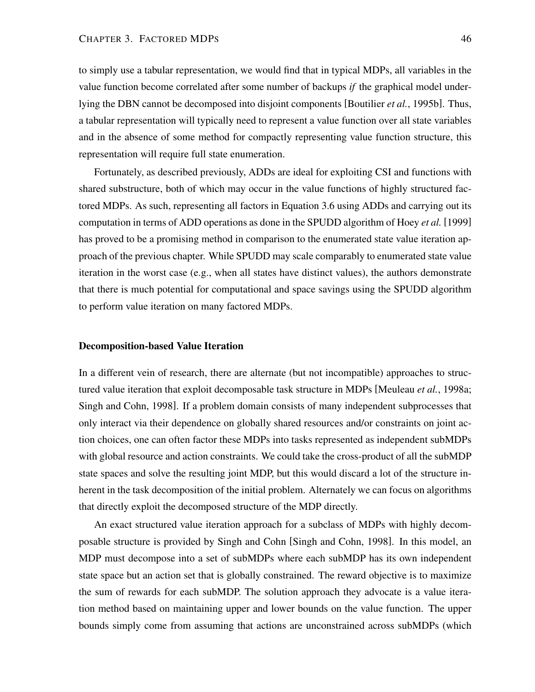to simply use a tabular representation, we would find that in typical MDPs, all variables in the value function become correlated after some number of backups *if* the graphical model underlying the DBN cannot be decomposed into disjoint components [Boutilier *et al.*, 1995b]. Thus, a tabular representation will typically need to represent a value function over all state variables and in the absence of some method for compactly representing value function structure, this representation will require full state enumeration.

Fortunately, as described previously, ADDs are ideal for exploiting CSI and functions with shared substructure, both of which may occur in the value functions of highly structured factored MDPs. As such, representing all factors in Equation 3.6 using ADDs and carrying out its computation in terms of ADD operations as done in the SPUDD algorithm of Hoey *et al.* [1999] has proved to be a promising method in comparison to the enumerated state value iteration approach of the previous chapter. While SPUDD may scale comparably to enumerated state value iteration in the worst case (e.g., when all states have distinct values), the authors demonstrate that there is much potential for computational and space savings using the SPUDD algorithm to perform value iteration on many factored MDPs.

## **Decomposition-based Value Iteration**

In a different vein of research, there are alternate (but not incompatible) approaches to structured value iteration that exploit decomposable task structure in MDPs [Meuleau *et al.*, 1998a; Singh and Cohn, 1998]. If a problem domain consists of many independent subprocesses that only interact via their dependence on globally shared resources and/or constraints on joint action choices, one can often factor these MDPs into tasks represented as independent subMDPs with global resource and action constraints. We could take the cross-product of all the subMDP state spaces and solve the resulting joint MDP, but this would discard a lot of the structure inherent in the task decomposition of the initial problem. Alternately we can focus on algorithms that directly exploit the decomposed structure of the MDP directly.

An exact structured value iteration approach for a subclass of MDPs with highly decomposable structure is provided by Singh and Cohn [Singh and Cohn, 1998]. In this model, an MDP must decompose into a set of subMDPs where each subMDP has its own independent state space but an action set that is globally constrained. The reward objective is to maximize the sum of rewards for each subMDP. The solution approach they advocate is a value iteration method based on maintaining upper and lower bounds on the value function. The upper bounds simply come from assuming that actions are unconstrained across subMDPs (which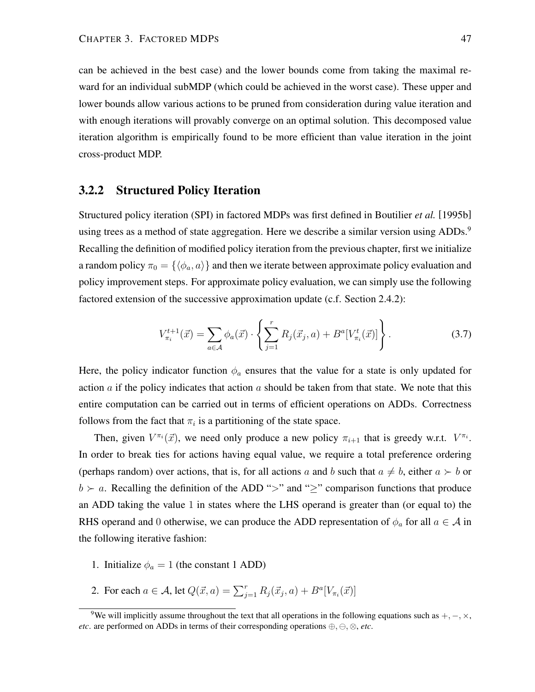can be achieved in the best case) and the lower bounds come from taking the maximal reward for an individual subMDP (which could be achieved in the worst case). These upper and lower bounds allow various actions to be pruned from consideration during value iteration and with enough iterations will provably converge on an optimal solution. This decomposed value iteration algorithm is empirically found to be more efficient than value iteration in the joint cross-product MDP.

## **3.2.2 Structured Policy Iteration**

Structured policy iteration (SPI) in factored MDPs was first defined in Boutilier *et al.* [1995b] using trees as a method of state aggregation. Here we describe a similar version using ADDs.<sup>9</sup> Recalling the definition of modified policy iteration from the previous chapter, first we initialize a random policy  $\pi_0 = {\langle \phi_a, a \rangle}$  and then we iterate between approximate policy evaluation and policy improvement steps. For approximate policy evaluation, we can simply use the following factored extension of the successive approximation update (c.f. Section 2.4.2):

$$
V_{\pi_i}^{t+1}(\vec{x}) = \sum_{a \in \mathcal{A}} \phi_a(\vec{x}) \cdot \left\{ \sum_{j=1}^r R_j(\vec{x}_j, a) + B^a[V_{\pi_i}^t(\vec{x})] \right\}.
$$
 (3.7)

Here, the policy indicator function  $\phi_a$  ensures that the value for a state is only updated for action  $\alpha$  if the policy indicates that action  $\alpha$  should be taken from that state. We note that this entire computation can be carried out in terms of efficient operations on ADDs. Correctness follows from the fact that  $\pi_i$  is a partitioning of the state space.

Then, given  $V^{\pi_i}(\vec{x})$ , we need only produce a new policy  $\pi_{i+1}$  that is greedy w.r.t.  $V^{\pi_i}$ . In order to break ties for actions having equal value, we require a total preference ordering (perhaps random) over actions, that is, for all actions a and b such that  $a \neq b$ , either  $a \succ b$  or  $b \succ a$ . Recalling the definition of the ADD ">" and ">" comparison functions that produce an ADD taking the value 1 in states where the LHS operand is greater than (or equal to) the RHS operand and 0 otherwise, we can produce the ADD representation of  $\phi_a$  for all  $a \in \mathcal{A}$  in the following iterative fashion:

- 1. Initialize  $\phi_a = 1$  (the constant 1 ADD)
- 2. For each  $a \in A$ , let  $Q(\vec{x}, a) = \sum_{j=1}^{r} R_j(\vec{x}_j, a) + B^a[V_{\pi_i}(\vec{x})]$

<sup>&</sup>lt;sup>9</sup>We will implicitly assume throughout the text that all operations in the following equations such as  $+$ ,  $-$ ,  $\times$ , *etc*. are performed on ADDs in terms of their corresponding operations  $\oplus$ ,  $\ominus$ ,  $\otimes$ , *etc*.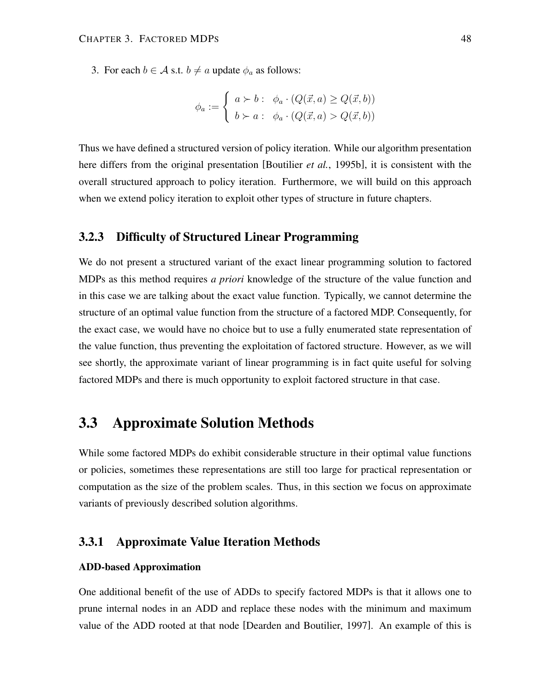3. For each  $b \in A$  s.t.  $b \neq a$  update  $\phi_a$  as follows:

$$
\phi_a := \begin{cases} a \succ b : & \phi_a \cdot (Q(\vec{x}, a) \ge Q(\vec{x}, b)) \\ b \succ a : & \phi_a \cdot (Q(\vec{x}, a) > Q(\vec{x}, b)) \end{cases}
$$

Thus we have defined a structured version of policy iteration. While our algorithm presentation here differs from the original presentation [Boutilier *et al.*, 1995b], it is consistent with the overall structured approach to policy iteration. Furthermore, we will build on this approach when we extend policy iteration to exploit other types of structure in future chapters.

## **3.2.3 Difficulty of Structured Linear Programming**

We do not present a structured variant of the exact linear programming solution to factored MDPs as this method requires *a priori* knowledge of the structure of the value function and in this case we are talking about the exact value function. Typically, we cannot determine the structure of an optimal value function from the structure of a factored MDP. Consequently, for the exact case, we would have no choice but to use a fully enumerated state representation of the value function, thus preventing the exploitation of factored structure. However, as we will see shortly, the approximate variant of linear programming is in fact quite useful for solving factored MDPs and there is much opportunity to exploit factored structure in that case.

# **3.3 Approximate Solution Methods**

While some factored MDPs do exhibit considerable structure in their optimal value functions or policies, sometimes these representations are still too large for practical representation or computation as the size of the problem scales. Thus, in this section we focus on approximate variants of previously described solution algorithms.

# **3.3.1 Approximate Value Iteration Methods**

### **ADD-based Approximation**

One additional benefit of the use of ADDs to specify factored MDPs is that it allows one to prune internal nodes in an ADD and replace these nodes with the minimum and maximum value of the ADD rooted at that node [Dearden and Boutilier, 1997]. An example of this is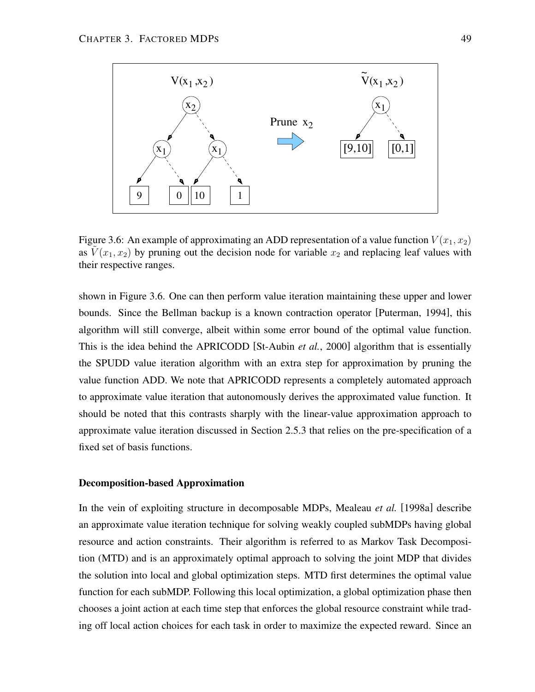

Figure 3.6: An example of approximating an ADD representation of a value function  $V(x_1, x_2)$ as  $V(x_1, x_2)$  by pruning out the decision node for variable  $x_2$  and replacing leaf values with their respective ranges.

shown in Figure 3.6. One can then perform value iteration maintaining these upper and lower bounds. Since the Bellman backup is a known contraction operator [Puterman, 1994], this algorithm will still converge, albeit within some error bound of the optimal value function. This is the idea behind the APRICODD [St-Aubin *et al.*, 2000] algorithm that is essentially the SPUDD value iteration algorithm with an extra step for approximation by pruning the value function ADD. We note that APRICODD represents a completely automated approach to approximate value iteration that autonomously derives the approximated value function. It should be noted that this contrasts sharply with the linear-value approximation approach to approximate value iteration discussed in Section 2.5.3 that relies on the pre-specification of a fixed set of basis functions.

#### **Decomposition-based Approximation**

In the vein of exploiting structure in decomposable MDPs, Mealeau *et al.* [1998a] describe an approximate value iteration technique for solving weakly coupled subMDPs having global resource and action constraints. Their algorithm is referred to as Markov Task Decomposition (MTD) and is an approximately optimal approach to solving the joint MDP that divides the solution into local and global optimization steps. MTD first determines the optimal value function for each subMDP. Following this local optimization, a global optimization phase then chooses a joint action at each time step that enforces the global resource constraint while trading off local action choices for each task in order to maximize the expected reward. Since an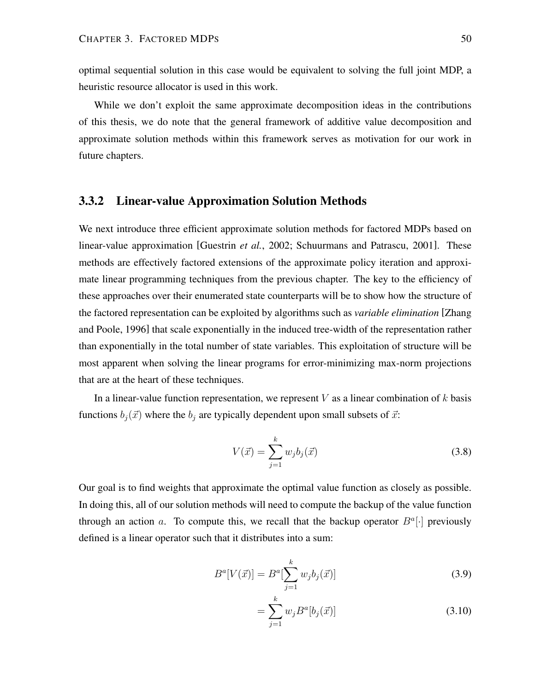optimal sequential solution in this case would be equivalent to solving the full joint MDP, a heuristic resource allocator is used in this work.

While we don't exploit the same approximate decomposition ideas in the contributions of this thesis, we do note that the general framework of additive value decomposition and approximate solution methods within this framework serves as motivation for our work in future chapters.

## **3.3.2 Linear-value Approximation Solution Methods**

We next introduce three efficient approximate solution methods for factored MDPs based on linear-value approximation [Guestrin *et al.*, 2002; Schuurmans and Patrascu, 2001]. These methods are effectively factored extensions of the approximate policy iteration and approximate linear programming techniques from the previous chapter. The key to the efficiency of these approaches over their enumerated state counterparts will be to show how the structure of the factored representation can be exploited by algorithms such as *variable elimination* [Zhang and Poole, 1996] that scale exponentially in the induced tree-width of the representation rather than exponentially in the total number of state variables. This exploitation of structure will be most apparent when solving the linear programs for error-minimizing max-norm projections that are at the heart of these techniques.

In a linear-value function representation, we represent  $V$  as a linear combination of  $k$  basis functions  $b_i(\vec{x})$  where the  $b_i$  are typically dependent upon small subsets of  $\vec{x}$ :

$$
V(\vec{x}) = \sum_{j=1}^{k} w_j b_j(\vec{x})
$$
\n(3.8)

Our goal is to find weights that approximate the optimal value function as closely as possible. In doing this, all of our solution methods will need to compute the backup of the value function through an action a. To compute this, we recall that the backup operator  $B^a[\cdot]$  previously defined is a linear operator such that it distributes into a sum:

$$
B^{a}[V(\vec{x})] = B^{a}[\sum_{j=1}^{k} w_{j}b_{j}(\vec{x})]
$$
\n(3.9)

$$
= \sum_{j=1}^{k} w_j B^a [b_j(\vec{x})]
$$
\n(3.10)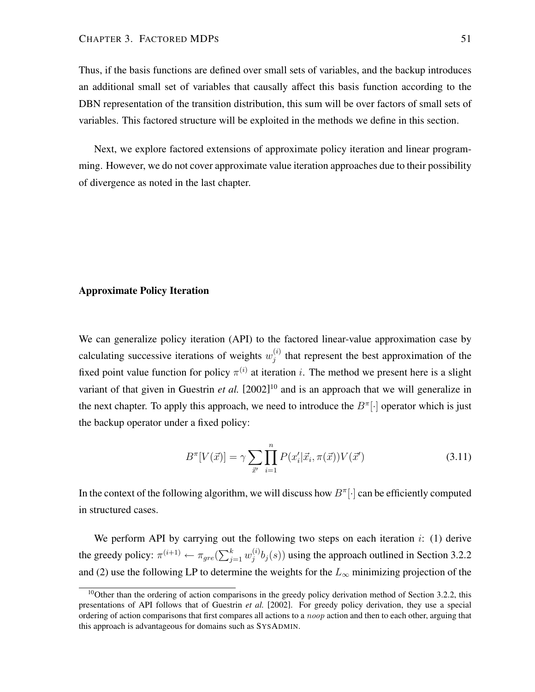Thus, if the basis functions are defined over small sets of variables, and the backup introduces an additional small set of variables that causally affect this basis function according to the DBN representation of the transition distribution, this sum will be over factors of small sets of variables. This factored structure will be exploited in the methods we define in this section.

Next, we explore factored extensions of approximate policy iteration and linear programming. However, we do not cover approximate value iteration approaches due to their possibility of divergence as noted in the last chapter.

### **Approximate Policy Iteration**

We can generalize policy iteration (API) to the factored linear-value approximation case by calculating successive iterations of weights  $w_i^{(i)}$  $j^{(i)}$  that represent the best approximation of the fixed point value function for policy  $\pi^{(i)}$  at iteration i. The method we present here is a slight variant of that given in Guestrin *et al.* [2002] <sup>10</sup> and is an approach that we will generalize in the next chapter. To apply this approach, we need to introduce the  $B^{\pi}[\cdot]$  operator which is just the backup operator under a fixed policy:

$$
B^{\pi}[V(\vec{x})] = \gamma \sum_{\vec{x}'} \prod_{i=1}^{n} P(x'_i | \vec{x}_i, \pi(\vec{x})) V(\vec{x}')
$$
(3.11)

In the context of the following algorithm, we will discuss how  $B^{\pi}[\cdot]$  can be efficiently computed in structured cases.

We perform API by carrying out the following two steps on each iteration  $i$ : (1) derive the greedy policy:  $\pi^{(i+1)} \leftarrow \pi_{gre}(\sum_{j=1}^{k} w_j^{(i)})$  $j^{(i)}$  $b_j(s)$ ) using the approach outlined in Section 3.2.2 and (2) use the following LP to determine the weights for the  $L_{\infty}$  minimizing projection of the

 $10$ Other than the ordering of action comparisons in the greedy policy derivation method of Section 3.2.2, this presentations of API follows that of Guestrin *et al.* [2002]. For greedy policy derivation, they use a special ordering of action comparisons that first compares all actions to a *noop* action and then to each other, arguing that this approach is advantageous for domains such as SYSADMIN.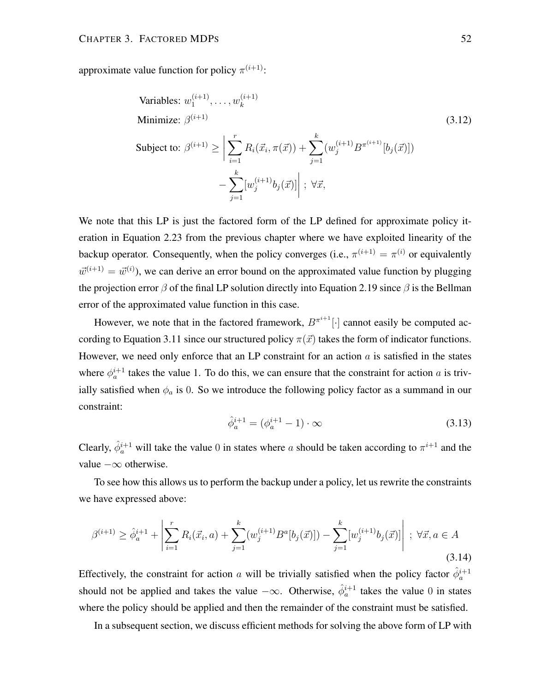approximate value function for policy  $\pi^{(i+1)}$ :

Variables: 
$$
w_1^{(i+1)}, \dots, w_k^{(i+1)}
$$
  
\nMinimize:  $\beta^{(i+1)}$  (3.12)  
\nSubject to:  $\beta^{(i+1)} \ge \left| \sum_{i=1}^r R_i(\vec{x}_i, \pi(\vec{x})) + \sum_{j=1}^k (w_j^{(i+1)} B^{\pi^{(i+1)}}[b_j(\vec{x})]) \right|$   
\n $- \sum_{j=1}^k [w_j^{(i+1)} b_j(\vec{x})] \middle| ; \forall \vec{x},$ 

We note that this LP is just the factored form of the LP defined for approximate policy iteration in Equation 2.23 from the previous chapter where we have exploited linearity of the backup operator. Consequently, when the policy converges (i.e.,  $\pi^{(i+1)} = \pi^{(i)}$  or equivalently  $\vec{w}^{(i+1)} = \vec{w}^{(i)}$ , we can derive an error bound on the approximated value function by plugging the projection error  $\beta$  of the final LP solution directly into Equation 2.19 since  $\beta$  is the Bellman error of the approximated value function in this case.

However, we note that in the factored framework,  $B^{\pi^{i+1}}[\cdot]$  cannot easily be computed according to Equation 3.11 since our structured policy  $\pi(\vec{x})$  takes the form of indicator functions. However, we need only enforce that an LP constraint for an action  $a$  is satisfied in the states where  $\phi_a^{i+1}$  takes the value 1. To do this, we can ensure that the constraint for action a is trivially satisfied when  $\phi_a$  is 0. So we introduce the following policy factor as a summand in our constraint:

$$
\hat{\phi}_a^{i+1} = (\phi_a^{i+1} - 1) \cdot \infty \tag{3.13}
$$

Clearly,  $\hat{\phi}_a^{i+1}$  will take the value 0 in states where a should be taken according to  $\pi^{i+1}$  and the value  $-\infty$  otherwise.

To see how this allows us to perform the backup under a policy, let us rewrite the constraints we have expressed above:

$$
\beta^{(i+1)} \ge \hat{\phi}_a^{i+1} + \left| \sum_{i=1}^r R_i(\vec{x}_i, a) + \sum_{j=1}^k (w_j^{(i+1)} B^a[b_j(\vec{x})]) - \sum_{j=1}^k [w_j^{(i+1)} b_j(\vec{x})] \right| \; ; \; \forall \vec{x}, a \in A
$$
\n(3.14)

Effectively, the constraint for action a will be trivially satisfied when the policy factor  $\hat{\phi}_a^{i+1}$ should not be applied and takes the value  $-\infty$ . Otherwise,  $\hat{\phi}_a^{i+1}$  takes the value 0 in states where the policy should be applied and then the remainder of the constraint must be satisfied.

In a subsequent section, we discuss efficient methods for solving the above form of LP with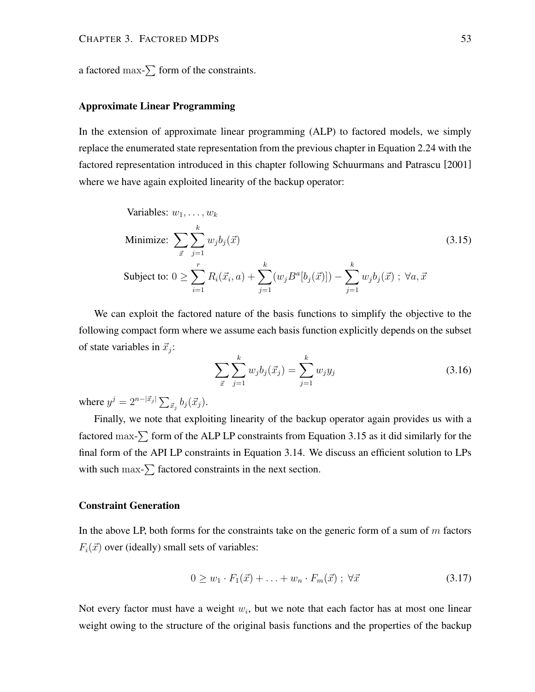a factored max- $\sum$  form of the constraints.

## **Approximate Linear Programming**

In the extension of approximate linear programming (ALP) to factored models, we simply replace the enumerated state representation from the previous chapter in Equation 2.24 with the factored representation introduced in this chapter following Schuurmans and Patrascu [2001] where we have again exploited linearity of the backup operator:

Variables: 
$$
w_1, ..., w_k
$$
  
\nMinimize: 
$$
\sum_{\vec{x}} \sum_{j=1}^k w_j b_j(\vec{x})
$$
  
\nSubject to: 
$$
0 \ge \sum_{i=1}^r R_i(\vec{x}_i, a) + \sum_{j=1}^k (w_j B^a[b_j(\vec{x})]) - \sum_{j=1}^k w_j b_j(\vec{x}) ; \ \forall a, \vec{x}
$$
 (3.15)

We can exploit the factored nature of the basis functions to simplify the objective to the following compact form where we assume each basis function explicitly depends on the subset of state variables in  $\vec{x}_j$ :

$$
\sum_{\vec{x}} \sum_{j=1}^{k} w_j b_j(\vec{x}_j) = \sum_{j=1}^{k} w_j y_j \tag{3.16}
$$

where  $y^j = 2^{n-|\vec{x}_j|} \sum_{\vec{x}_j} b_j(\vec{x}_j)$ .

Finally, we note that exploiting linearity of the backup operator again provides us with a factored max- $\sum$  form of the ALP LP constraints from Equation 3.15 as it did similarly for the final form of the API LP constraints in Equation 3.14. We discuss an efficient solution to LPs with such  $\max$ - $\sum$  factored constraints in the next section.

## **Constraint Generation**

In the above LP, both forms for the constraints take on the generic form of a sum of  $m$  factors  $F_i(\vec{x})$  over (ideally) small sets of variables:

$$
0 \ge w_1 \cdot F_1(\vec{x}) + \ldots + w_n \cdot F_m(\vec{x}) \; ; \; \forall \vec{x} \tag{3.17}
$$

Not every factor must have a weight  $w_i$ , but we note that each factor has at most one linear weight owing to the structure of the original basis functions and the properties of the backup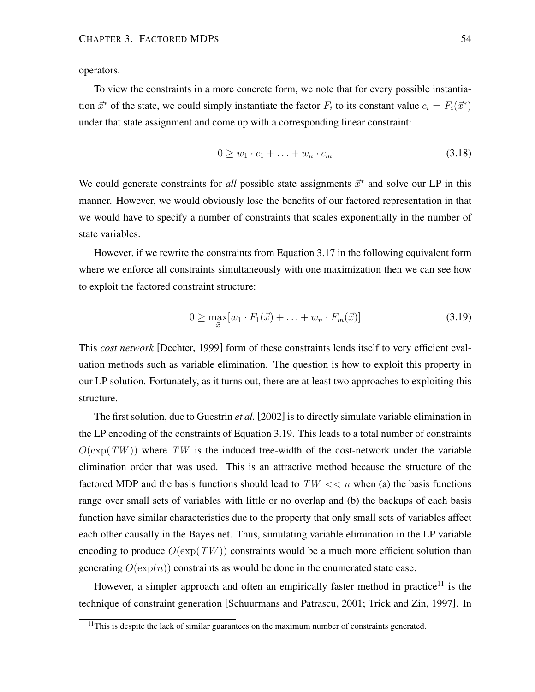operators.

To view the constraints in a more concrete form, we note that for every possible instantiation  $\vec{x}^*$  of the state, we could simply instantiate the factor  $F_i$  to its constant value  $c_i = F_i(\vec{x}^*)$ under that state assignment and come up with a corresponding linear constraint:

$$
0 \ge w_1 \cdot c_1 + \ldots + w_n \cdot c_m \tag{3.18}
$$

We could generate constraints for *all* possible state assignments  $\vec{x}^*$  and solve our LP in this manner. However, we would obviously lose the benefits of our factored representation in that we would have to specify a number of constraints that scales exponentially in the number of state variables.

However, if we rewrite the constraints from Equation 3.17 in the following equivalent form where we enforce all constraints simultaneously with one maximization then we can see how to exploit the factored constraint structure:

$$
0 \ge \max_{\vec{x}} [w_1 \cdot F_1(\vec{x}) + \ldots + w_n \cdot F_m(\vec{x})]
$$
\n(3.19)

This *cost network* [Dechter, 1999] form of these constraints lends itself to very efficient evaluation methods such as variable elimination. The question is how to exploit this property in our LP solution. Fortunately, as it turns out, there are at least two approaches to exploiting this structure.

The first solution, due to Guestrin *et al.* [2002] is to directly simulate variable elimination in the LP encoding of the constraints of Equation 3.19. This leads to a total number of constraints  $O(\exp(TW))$  where TW is the induced tree-width of the cost-network under the variable elimination order that was used. This is an attractive method because the structure of the factored MDP and the basis functions should lead to  $TW \ll n$  when (a) the basis functions range over small sets of variables with little or no overlap and (b) the backups of each basis function have similar characteristics due to the property that only small sets of variables affect each other causally in the Bayes net. Thus, simulating variable elimination in the LP variable encoding to produce  $O(\exp(TW))$  constraints would be a much more efficient solution than generating  $O(\exp(n))$  constraints as would be done in the enumerated state case.

However, a simpler approach and often an empirically faster method in practice<sup>11</sup> is the technique of constraint generation [Schuurmans and Patrascu, 2001; Trick and Zin, 1997]. In

<sup>&</sup>lt;sup>11</sup>This is despite the lack of similar guarantees on the maximum number of constraints generated.